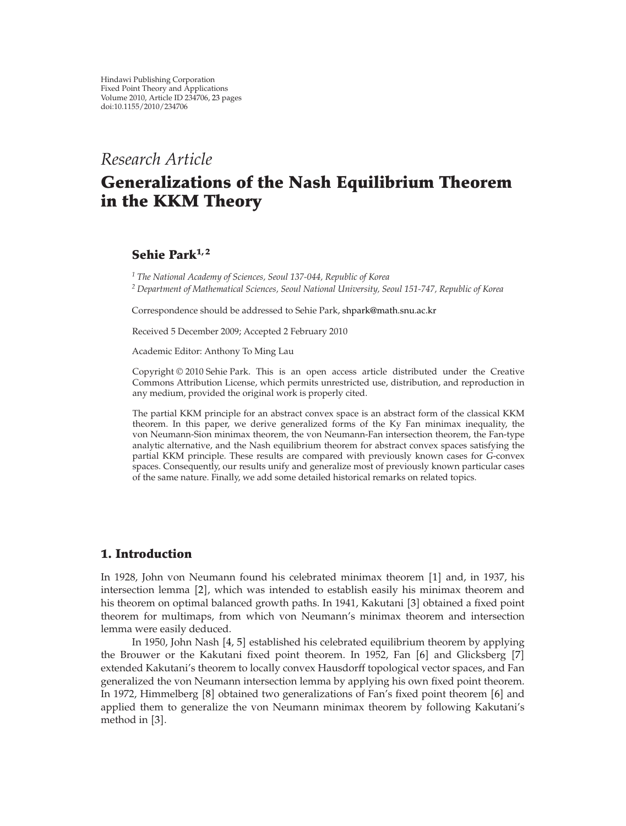## *Research Article*

# **Generalizations of the Nash Equilibrium Theorem in the KKM Theory**

## **Sehie Park1, 2**

*<sup>1</sup> The National Academy of Sciences, Seoul 137-044, Republic of Korea <sup>2</sup> Department of Mathematical Sciences, Seoul National University, Seoul 151-747, Republic of Korea*

Correspondence should be addressed to Sehie Park, [shpark@math.snu.ac.kr](mailto:shpark@math.snu.ac.kr)

Received 5 December 2009; Accepted 2 February 2010

Academic Editor: Anthony To Ming Lau

Copyright © 2010 Sehie Park. This is an open access article distributed under the Creative Commons Attribution License, which permits unrestricted use, distribution, and reproduction in any medium, provided the original work is properly cited.

The partial KKM principle for an abstract convex space is an abstract form of the classical KKM theorem. In this paper, we derive generalized forms of the Ky Fan minimax inequality, the von Neumann-Sion minimax theorem, the von Neumann-Fan intersection theorem, the Fan-type analytic alternative, and the Nash equilibrium theorem for abstract convex spaces satisfying the partial KKM principle. These results are compared with previously known cases for *G*-convex spaces. Consequently, our results unify and generalize most of previously known particular cases of the same nature. Finally, we add some detailed historical remarks on related topics.

## <span id="page-0-0"></span>**1. Introduction**

In [1](#page-20-1)928, John von Neumann found his celebrated minimax theorem [1] and, in 1937, his intersection lemma [[2](#page-20-2)], which was intended to establish easily his minimax theorem and his theorem on optimal balanced growth paths. In 1941, Kakutani [[3](#page-20-3)] obtained a fixed point theorem for multimaps, from which von Neumann's minimax theorem and intersection lemma were easily deduced.

In 1950, John Nash [[4,](#page-20-4) [5](#page-20-5)] established his celebrated equilibrium theorem by applying the Brouwer or the Kakutani fixed point theorem. In 1952, Fan [[6](#page-20-6)] and Glicksberg [[7](#page-20-7)] extended Kakutani's theorem to locally convex Hausdorff topological vector spaces, and Fan generalized the von Neumann intersection lemma by applying his own fixed point theorem. In 1972, Himmelberg [[8](#page-20-8)] obtained two generalizations of Fan's fixed point theorem [[6](#page-20-6)] and applied them to generalize the von Neumann minimax theorem by following Kakutani's method in [[3](#page-20-3)].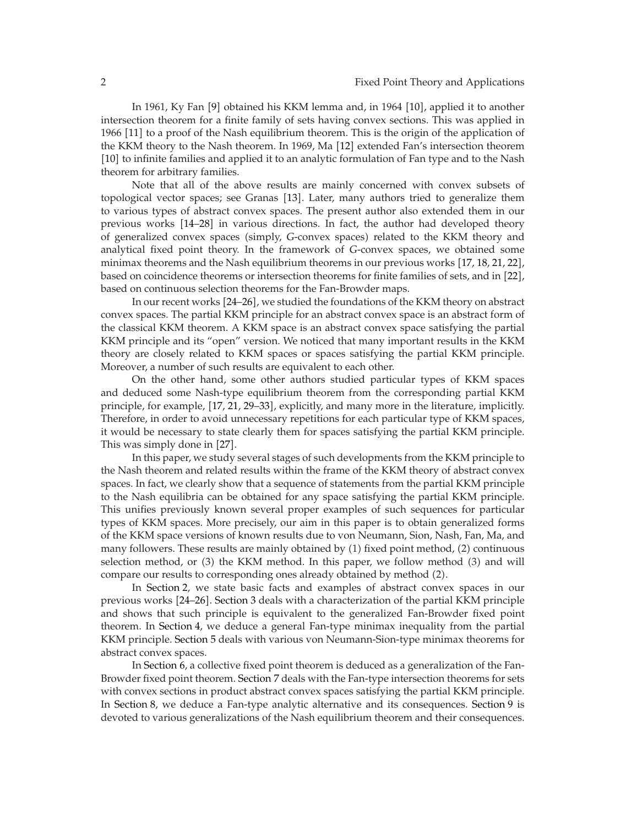In 1[9](#page-20-9)61, Ky Fan [9] obtained his KKM lemma and, in 1964 [[10](#page-20-10)], applied it to another intersection theorem for a finite family of sets having convex sections. This was applied in 1966 [[11](#page-20-11)] to a proof of the Nash equilibrium theorem. This is the origin of the application of the KKM theory to the Nash theorem. In 1969, Ma [[12](#page-20-12)] extended Fan's intersection theorem [[10](#page-20-10)] to infinite families and applied it to an analytic formulation of Fan type and to the Nash theorem for arbitrary families.

Note that all of the above results are mainly concerned with convex subsets of topological vector spaces; see Granas [[13](#page-20-13)]. Later, many authors tried to generalize them to various types of abstract convex spaces. The present author also extended them in our previous works  $[14–28]$  $[14–28]$  $[14–28]$  $[14–28]$  in various directions. In fact, the author had developed theory of generalized convex spaces (simply, *G*-convex spaces) related to the KKM theory and analytical fixed point theory. In the framework of *G*-convex spaces, we obtained some minimax theorems and the Nash equilibrium theorems in our previous works  $[17, 18, 21, 22]$  $[17, 18, 21, 22]$  $[17, 18, 21, 22]$  $[17, 18, 21, 22]$  $[17, 18, 21, 22]$  $[17, 18, 21, 22]$  $[17, 18, 21, 22]$  $[17, 18, 21, 22]$  $[17, 18, 21, 22]$ , based on coincidence theorems or intersection theorems for finite families of sets, and in [[22](#page-21-1)], based on continuous selection theorems for the Fan-Browder maps.

In our recent works [[24](#page-21-2)[–26](#page-21-3)], we studied the foundations of the KKM theory on abstract convex spaces. The partial KKM principle for an abstract convex space is an abstract form of the classical KKM theorem. A KKM space is an abstract convex space satisfying the partial KKM principle and its "open" version. We noticed that many important results in the KKM theory are closely related to KKM spaces or spaces satisfying the partial KKM principle. Moreover, a number of such results are equivalent to each other.

On the other hand, some other authors studied particular types of KKM spaces and deduced some Nash-type equilibrium theorem from the corresponding partial KKM principle, for example, [[17](#page-20-15), [21,](#page-20-17) [29](#page-21-4)[–33](#page-21-5)], explicitly, and many more in the literature, implicitly. Therefore, in order to avoid unnecessary repetitions for each particular type of KKM spaces, it would be necessary to state clearly them for spaces satisfying the partial KKM principle. This was simply done in [[27](#page-21-6)].

In this paper, we study several stages of such developments from the KKM principle to the Nash theorem and related results within the frame of the KKM theory of abstract convex spaces. In fact, we clearly show that a sequence of statements from the partial KKM principle to the Nash equilibria can be obtained for any space satisfying the partial KKM principle. This unifies previously known several proper examples of such sequences for particular types of KKM spaces. More precisely, our aim in this paper is to obtain generalized forms of the KKM space versions of known results due to von Neumann, Sion, Nash, Fan, Ma, and many followers. These results are mainly obtained by  $(1)$  fixed point method,  $(2)$  continuous selection method, or  $(3)$  the KKM method. In this paper, we follow method  $(3)$  and will compare our results to corresponding ones already obtained by method 2*.*

In [Section 2,](#page-2-0) we state basic facts and examples of abstract convex spaces in our previous works [[24](#page-21-2)[–26](#page-21-3)]. [Section 3](#page-4-0) deals with a characterization of the partial KKM principle and shows that such principle is equivalent to the generalized Fan-Browder fixed point theorem. In [Section 4,](#page-5-0) we deduce a general Fan-type minimax inequality from the partial KKM principle. [Section 5](#page-6-0) deals with various von Neumann-Sion-type minimax theorems for abstract convex spaces.

In [Section 6,](#page-9-0) a collective fixed point theorem is deduced as a generalization of the Fan-Browder fixed point theorem. [Section 7](#page-10-0) deals with the Fan-type intersection theorems for sets with convex sections in product abstract convex spaces satisfying the partial KKM principle. In [Section 8,](#page-12-0) we deduce a Fan-type analytic alternative and its consequences. [Section 9](#page-13-0) is devoted to various generalizations of the Nash equilibrium theorem and their consequences.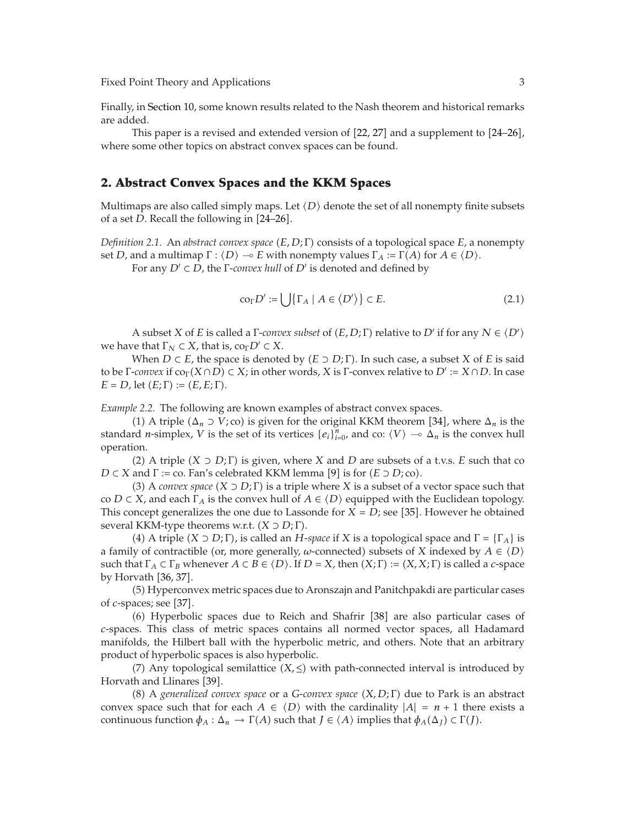Finally, in [Section 10,](#page-16-0) some known results related to the Nash theorem and historical remarks are added.

This paper is a revised and extended version of  $[22, 27]$  $[22, 27]$  $[22, 27]$  $[22, 27]$  $[22, 27]$  and a supplement to  $[24-26]$  $[24-26]$  $[24-26]$ , where some other topics on abstract convex spaces can be found.

#### <span id="page-2-0"></span>**2. Abstract Convex Spaces and the KKM Spaces**

Multimaps are also called simply maps. Let  $\langle D \rangle$  denote the set of all nonempty finite subsets of a set  $D$  Bocall the following in [24–26] of a set *D*. Recall the following in  $[24-26]$  $[24-26]$  $[24-26]$ .

*Definition 2.1.* An *abstract convex space* (*E, D; Γ*) consists of a topological space *E,* a nonempty set *D*, and a multimap  $\Gamma : \langle D \rangle \to E$  with nonempty values  $\Gamma_A := \Gamma(A)$  for  $A \in \langle D \rangle$ .<br>For any  $D' \subset D$ , the *E-course hull* of  $D'$  is denoted and defined by For any *D'* ⊂ *D*, the Γ-*convex hull* of *D'* is denoted and defined by

$$
\operatorname{co}_{\Gamma} D' := \bigcup \{ \Gamma_A \mid A \in \langle D' \rangle \} \subset E. \tag{2.1}
$$

A subset *X* of *E* is called a  $\Gamma$ *-convex subset* of  $(E, D; \Gamma)$  relative to  $D'$  if for any  $N \in \langle D' \rangle$ <br>*In that*  $\Gamma_{\Sigma} \subset X$  that is  $C \cap D' \subset X$ we have that  $\Gamma_N \subset X$ , that is,  $\text{co}_{\Gamma} D' \subset X$ .

When  $D \subset E$ , the space is denoted by  $(E \supset D; \Gamma)$ . In such case, a subset *X* of *E* is said to be Γ-*convex* if  $co<sub>Γ</sub>(X∩D) \subset X$ ; in other words, *X* is Γ-convex relative to *D'* := *X* ∩ *D*. In case  $E = D$ , let  $(E; \Gamma) := (E, E; \Gamma)$ .

*Example 2.2.* The following are known examples of abstract convex spaces.

(1) A triple  $(\Delta_n \supset V; \text{co})$  is given for the original KKM theorem [[34](#page-21-7)], where  $\Delta_n$  is the set of its vertices  $\{a_i\}^n$ , and  $\text{co} \, \langle V \rangle \sim \Delta_n$  is the convoy bull standard *n*-simplex, *V* is the set of its vertices  $\{e_i\}_{i=0}^n$ , and co:  $\langle V \rangle \to \Delta_n$  is the convex hull operation operation.

(2) A triple  $(X \supset D; \Gamma)$  is given, where X and D are subsets of a t.v.s. *E* such that co  $D \subset X$  and  $\Gamma := \text{co.}$  Fan's celebrated KKM lemma [[9](#page-20-9)] is for  $(E \supset D; \text{co}).$ <br>(3) A convex space  $(X \supset D; \Gamma)$  is a triple where X is a subset of a

(3) A *convex space*  $(X \supset D; \Gamma)$  is a triple where X is a subset of a vector space such that co *D* ⊂ *X*, and each  $\Gamma_A$  is the convex hull of  $A \in \langle D \rangle$  equipped with the Euclidean topology.<br>This concent generalizes the one due to Lassande for *X* = *D*: see [35]. However he obtained This concept generalizes the one due to Lassonde for  $X = D$ ; see [[35](#page-21-8)]. However he obtained<br>several KKM-type theorems w.r.t.  $(X \supset D \cdot \Gamma)$ several KKM-type theorems w.r.t. *X* <sup>⊃</sup> *D*; Γ.

(4) A triple  $(X \supset D; \Gamma)$ , is called an *H*-*space* if *X* is a topological space and  $\Gamma = {\Gamma_A}$  is a family of contractible (or, more generally, *ω*-connected) subsets of *X* indexed by  $A \in \langle D \rangle$ <br>such that  $\Gamma \in \Gamma$  is whenever  $A \subseteq B \in \langle D \rangle$ . If  $D = X$ , then  $(X, \Gamma) := (X, X, \Gamma)$  is called a connected such that  $\Gamma_A \subset \Gamma_B$  whenever  $A \subset B \in \langle D \rangle$ . If  $D = X$ , then  $(X; \Gamma) := (X, X; \Gamma)$  is called a *c*-space by Horyath [36, 37] by Horvath [[36,](#page-21-9) [37](#page-21-10)].

5 Hyperconvex metric spaces due to Aronszajn and Panitchpakdi are particular cases of *c*-spaces; see [[37](#page-21-10)].

(6) Hyperbolic spaces due to Reich and Shafrir [[38](#page-21-11)] are also particular cases of *c*-spaces. This class of metric spaces contains all normed vector spaces, all Hadamard manifolds, the Hilbert ball with the hyperbolic metric, and others. Note that an arbitrary product of hyperbolic spaces is also hyperbolic.

 $(7)$  Any topological semilattice  $(X, \leq)$  with path-connected interval is introduced by Horvath and Llinares [[39](#page-21-12)].

8 <sup>A</sup> *generalized convex space* or a *G*-*convex space X, D*; Γ due to Park is an abstract convex space such that for each *A* ∈  $\langle D \rangle$  with the cardinality  $|A| = n + 1$  there exists a continuous function  $\phi_{\lambda} : \Delta \to \Gamma(4)$  such that  $I \in \langle A \rangle$  implies that  $\phi_{\lambda}(\Delta) \subset \Gamma(I)$ continuous function  $\phi_A : \Delta_n \to \Gamma(A)$  such that  $J \in \langle A \rangle$  implies that  $\phi_A(\Delta_J) \subset \Gamma(J)$ .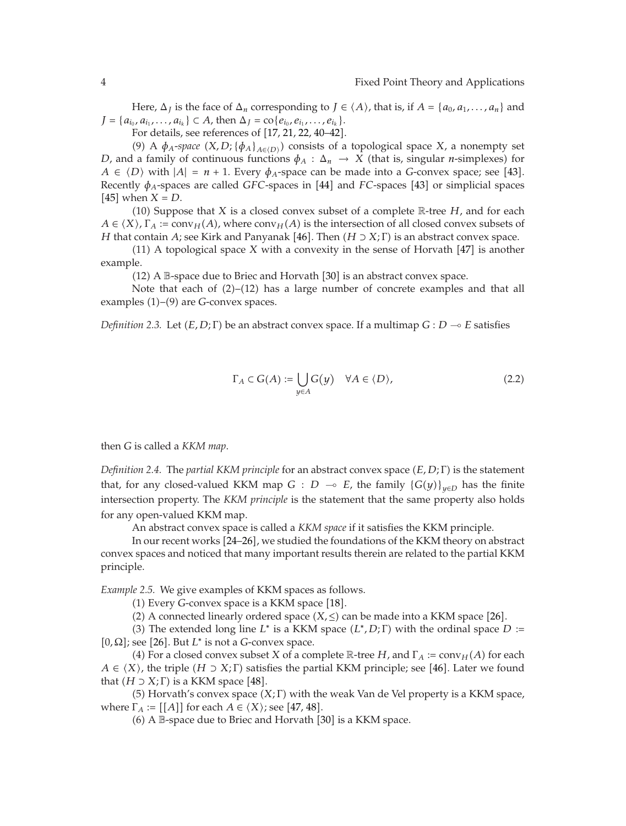Here,  $\Delta_J$  is the face of  $\Delta_n$  corresponding to  $J \in \langle A \rangle$ , that is, if  $A = \{a_0, a_1, \ldots, a_n\}$  and  $J = \{a_{i_0}, a_{i_1}, \ldots, a_{i_k}\} \subset A$ , then  $\Delta_J = \text{co}\{e_{i_0}, e_{i_1}, \ldots, e_{i_k}\}.$ 

For details, see references of  $[17, 21, 22, 40–42].$  $[17, 21, 22, 40–42].$  $[17, 21, 22, 40–42].$  $[17, 21, 22, 40–42].$  $[17, 21, 22, 40–42].$  $[17, 21, 22, 40–42].$  $[17, 21, 22, 40–42].$  $[17, 21, 22, 40–42].$  $[17, 21, 22, 40–42].$ 

(9) A  $\phi_A$ -space  $(X, D; {\phi_A}_{A \in (D)})$  consists of a topological space *X*, a nonempty set a family of continuous functions  $\phi_A : A \to X$  (that is singular *n*-simplexes) for *D*, and a family of continuous functions  $\phi_A : \Delta_n \to X$  (that is, singular *n*-simplexes) for  $A \in \langle D \rangle$  with  $|A| = n + 1$ . Every  $\phi_A$ -space can be made into a *G*-convex space; see [[43](#page-21-15)]. Recently  $\phi_A$ -spaces are called *GFC*-spaces in [[44](#page-21-16)] and *FC*-spaces [[43](#page-21-15)] or simplicial spaces [45] when  $X - D$  $[45]$  $[45]$  $[45]$  when  $X = D$ .

(10) Suppose that *X* is a closed convex subset of a complete  $\mathbb{R}$ -tree *H*, and for each  $A \in \langle X \rangle$ ,  $\Gamma_A := \text{conv}_H(A)$ , where  $\text{conv}_H(A)$  is the intersection of all closed convex subsets of  $H$  that contain  $A$ ; soo Kirk and Panyanak [46]. Then  $(H \supset Y \cdot \Gamma)$  is an abstract convex space *H* that contain *A*; see Kirk and Panyanak [[46](#page-21-18)]. Then  $(H \supset X; \Gamma)$  is an abstract convex space.<br>(11) A topological space *X* with a convexity in the sense of Horvath [47] is another

 $(11)$  A topological space *X* with a convexity in the sense of Horvath  $[47]$  $[47]$  $[47]$  is another example.

(12) A B-space due to Briec and Horvath [[30](#page-21-20)] is an abstract convex space.

Note that each of  $(2)$ – $(12)$  has a large number of concrete examples and that all examples (1)–(9) are *G*-convex spaces.

*Definition 2.3.* Let  $(E, D; \Gamma)$  be an abstract convex space. If a multimap  $G: D \to E$  satisfies

$$
\Gamma_A \subset G(A) := \bigcup_{y \in A} G(y) \quad \forall A \in \langle D \rangle,
$$
\n(2.2)

then *G* is called a *KKM map*.

*Definition 2.4.* The *partial KKM principle* for an abstract convex space *E, D*; Γ is the statement that, for any closed-valued KKM map *G* : *D*  $\rightarrow$  *E*, the family  $\{G(y)\}_{y \in D}$  has the finite intersection property. The *KKM principle* is the statement that the same property also holds for any open-valued KKM map.

An abstract convex space is called a *KKM space* if it satisfies the KKM principle.

In our recent works [[24](#page-21-2)[–26](#page-21-3)], we studied the foundations of the KKM theory on abstract convex spaces and noticed that many important results therein are related to the partial KKM principle.

*Example 2.5.* We give examples of KKM spaces as follows.

(1) Every *G*-convex space is a KKM space [[18](#page-20-16)].<br>(2) A connected linearly ordered space  $(X \leq)$  c

(2) A connected linearly ordered space  $(X, \leq)$  can be made into a KKM space [[26](#page-21-3)].<br>(3) The extended long line *I*<sup>\*</sup> is a KKM space  $(I^* \text{ D} \cdot \Gamma)$  with the ordinal space *I* 

(3) The extended long line  $L^*$  is a KKM space  $(L^*, D; \Gamma)$  with the ordinal space  $D :=$ [0,  $\Omega$ ]; see [[26](#page-21-3)]. But *L*<sup>\*</sup> is not a *G*-convex space.<br>(4) For a closed convex subset *X* of a con-

(4) For a closed convex subset *X* of a complete  $\mathbb{R}$ -tree *H*, and  $\Gamma_A := \text{conv}_H(A)$  for each *A* ∈  $\langle X \rangle$ , the triple  $(H \supset X; \Gamma)$  satisfies the partial KKM principle; see [[46](#page-21-18)]. Later we found that  $(H \supset Y; \Gamma)$  is a KKM space [48] that  $(H \supset X; \Gamma)$  is a KKM space [[48](#page-21-21)].<br>(5) Horvath's convoy space (3)

(5) Horvath's convex space  $(X; \Gamma)$  with the weak Van de Vel property is a KKM space, where  $\Gamma_A := [[A]]$  for each  $A \in \langle X \rangle$ ; see [[47,](#page-21-19) [48](#page-21-21)].

 $(6)$  A  $\mathbb B$ -space due to Briec and Horvath  $[30]$  $[30]$  $[30]$  is a KKM space.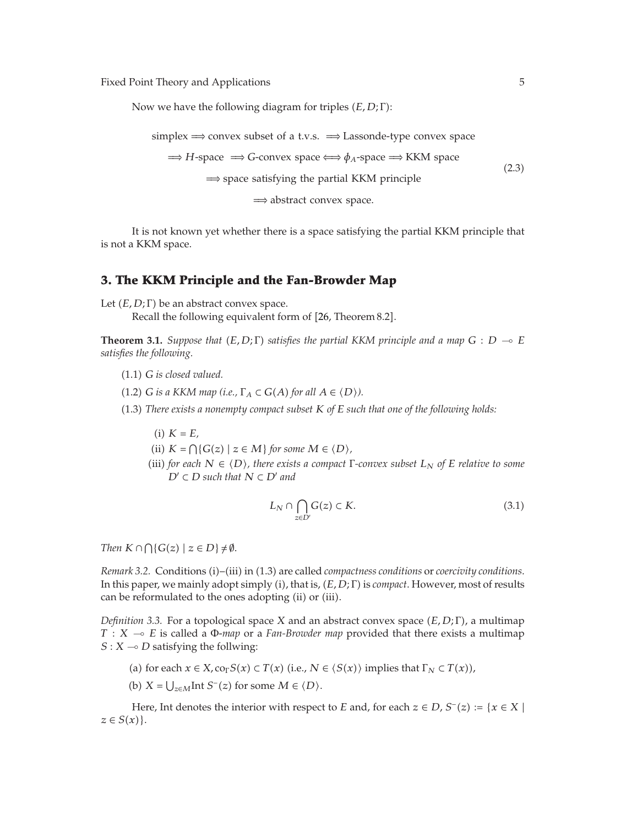Now we have the following diagram for triples *E, D*; Γ:

```
simplex ⇒ convex subset of a t.v.s. ⇒ Lassonde-type convex space
   \Rightarrow H-space \Rightarrow G-convex space \iff \phi<sub>A</sub>-space \Rightarrow KKM space
             ⇒ space satisfying the partial KKM principle
                                                                                      (2.3)
```
<sup>⇒</sup> abstract convex space*.*

It is not known yet whether there is a space satisfying the partial KKM principle that is not a KKM space.

## <span id="page-4-0"></span>**3. The KKM Principle and the Fan-Browder Map**

<span id="page-4-1"></span>Let  $(E, D; \Gamma)$  be an abstract convex space.

Recall the following equivalent form of [[26](#page-21-3), Theorem 8.2].

**Theorem 3.1.** *Suppose that*  $(E, D; \Gamma)$  *satisfies the partial KKM principle and a map*  $G : D \multimap E$ <br>*satisfies the following satisfies the following.*

- 1*.*1 *G is closed valued.*
- $(1.2)$  *G is a KKM map (i.e.,*  $\Gamma_A \subset G(A)$  *for all*  $A \in \langle D \rangle$ ).
- 1*.*3 *There exists a nonempty compact subset K of E such that one of the following holds:*
	- $(i)$   $K = E$ ,
	- $(iii) K = \bigcap \{G(z) \mid z \in M\}$  *for some*  $M \in \langle D \rangle$ ,  $(iii) K = \bigcap \{S(z) \mid z \in M\}$
	- (iii) *for each*  $N \in \langle D \rangle$ *, there exists a compact*  $\Gamma$ *-convex subset*  $L_N$  *of*  $E$  *relative to some*<br> $D' \subset D$  *such that*  $N \subset D'$  *and*  $D' \subset D$  *such that*  $N \subset D'$  *and*

$$
L_N \cap \bigcap_{z \in D'} G(z) \subset K. \tag{3.1}
$$

*Then*  $K \cap \bigcap \{ G(z) \mid z \in D \} \neq \emptyset$ .

*Remark 3.2.* Conditions (i)–(iii) in (1.3) are called *compactness conditions* or *coercivity conditions*. In this paper, we mainly adopt simply i, that is, *E, D*; Γ is *compact*. However, most of results can be reformulated to the ones adopting (ii) or (iii).

*Definition 3.3.* For a topological space *X* and an abstract convex space *(E, D; Γ)*, a multimap *T* : *X* → *E* is called a Φ-*map* or a *Fan-Browder map* provided that there exists a multimap  $S \cdot X$  → *D* satisfying the follwing:  $S: X \rightarrow D$  satisfying the follwing:

- (a) for each  $x \in X$ ,  $\text{co}_\Gamma S(x) \subset T(x)$  (i.e.,  $N \in \langle S(x) \rangle$  implies that  $\Gamma_N \subset T(x)$ ),
- (b)  $X = \bigcup_{z \in M} \text{Int } S^-(z)$  for some  $M \in \langle D \rangle$ .

Here, Int denotes the interior with respect to *E* and, for each  $z \in D$ ,  $S^{-}(z) := \{x \in X \mid$  $z \in S(x)$ .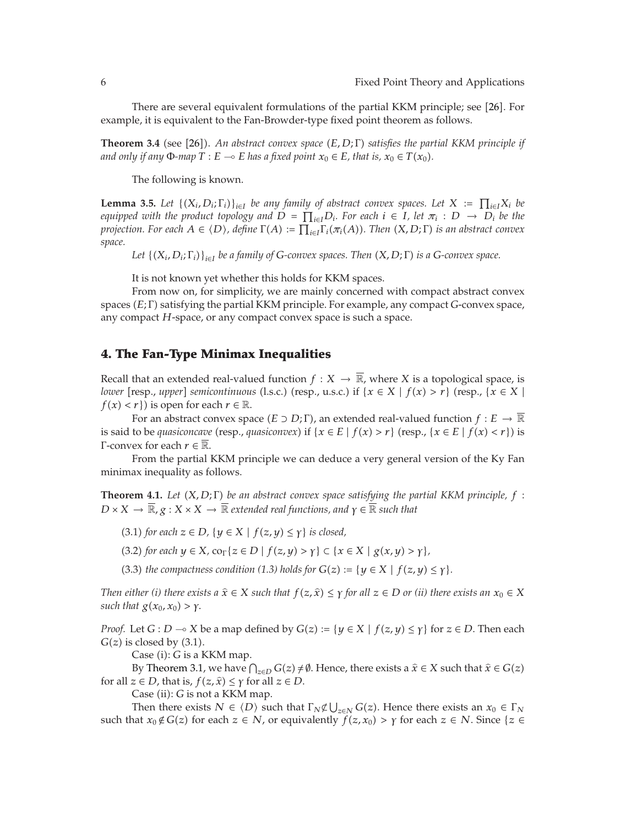<span id="page-5-3"></span>There are several equivalent formulations of the partial KKM principle; see [[26](#page-21-3)]. For example, it is equivalent to the Fan-Browder-type fixed point theorem as follows.

**Theorem 3.4** (see [[26](#page-21-3)]). An abstract convex space  $(E, D; \Gamma)$  satisfies the partial KKM principle if and only if any  $\mathcal{D}$  man  $T : E \subseteq E$  has a fixed point  $x \in E$  that is  $x \in T(x)$ . *and only if any*  $\Phi$ *-map*  $T : E \to E$  *has a fixed point*  $x_0 \in E$ *, that is,*  $x_0 \in T(x_0)$ *.* 

The following is known.

<span id="page-5-2"></span>**Lemma 3.5.** Let  $\{(X_i, D_i; \Gamma_i)\}_{i \in I}$  be any family of abstract convex spaces. Let  $X := \prod_{i \in I} X_i$  be *equipped with the product topology and*  $D = \prod_{i \in I} D_i$ *. For each*  $i \in I$ *, let*  $\pi_i : D \to D_i$  *be the projection. For each*  $A \in \langle D \rangle$ , define  $\Gamma(A) := \prod_{i \in I} \Gamma_i(\pi_i(A))$ . Then  $(X, D; \Gamma)$  is an abstract convex<br>space *space.*

*Let*  $\{(X_i, D_i; \Gamma_i)\}_{i \in I}$  *be a family of G-convex spaces. Then*  $(X, D; \Gamma)$  *is a G-convex space.* 

It is not known yet whether this holds for KKM spaces.

From now on, for simplicity, we are mainly concerned with compact abstract convex spaces *E*; Γ satisfying the partial KKM principle. For example, any compact *G*-convex space, any compact *H*-space, or any compact convex space is such a space.

#### <span id="page-5-0"></span>**4. The Fan-Type Minimax Inequalities**

Recall that an extended real-valued function  $f: X \to \overline{\mathbb{R}}$ , where *X* is a topological space, is *lower* [resp., *upper*] *semicontinuous* (l.s.c.) (resp., u.s.c.) if  $\{x \in X \mid f(x) > r\}$  (resp.,  $\{x \in X \mid f(x) < r\}$ ) is open for each  $r \in \mathbb{R}$  $f(x) < r$ } is open for each  $r \in \mathbb{R}$ .

For an abstract convex space  $(E \supset D; \Gamma)$ , an extended real-valued function  $f : E \to \mathbb{R}$ is said to be *quasiconcave* (resp., *quasiconvex*) if  $\{x \in E \mid f(x) > r\}$  (resp.,  $\{x \in E \mid f(x) < r\}$ ) is <sup>Γ</sup>-convex for each *<sup>r</sup>* <sup>∈</sup> <sup>R</sup>.

<span id="page-5-1"></span>From the partial KKM principle we can deduce a very general version of the Ky Fan minimax inequality as follows.

**Theorem 4.1.** *Let X, D*; Γ *be an abstract convex space satisfying the partial KKM principle, f* :  $D \times X \to \overline{\mathbb{R}}$ ,  $g: X \times X \to \overline{\mathbb{R}}$  *extended real functions, and*  $\gamma \in \overline{\mathbb{R}}$  *such that* 

- $(3.1)$  *for each*  $z \in D$ ,  $\{y \in X \mid f(z, y) \leq \gamma\}$  *is closed,*
- $(3.2)$  *for each*  $y \in X$ *,*  $\text{co}_{\Gamma} \{z \in D \mid f(z, y) > \gamma \} \subset \{x \in X \mid g(x, y) > \gamma \}$ ,
- (3.3) *the compactness condition* (1.3) *holds for*  $G(z) := \{y \in X \mid f(z, y) \leq \gamma\}.$

*Then either (i) there exists a*  $\hat{x} \in X$  *such that*  $f(z, \hat{x}) \leq \gamma$  *for all*  $z \in D$  *or (ii) there exists an*  $x_0 \in X$ *such that*  $g(x_0, x_0) > \gamma$ .

*Proof.* Let *G* : *D*  $\rightarrow$  *X* be a map defined by *G*(*z*) := { $y \in X \mid f(z, y) \leq \gamma$ } for  $z \in D$ . Then each *G*(*z*) is closed by (3.1)  $G(z)$  is closed by  $(3.1)$ .

Case (i): *G* is a KKM map.

By [Theorem 3.1,](#page-4-1) we have  $\bigcap_{z\in D} G(z) \neq \emptyset$ . Hence, there exists a  $\hat{x} \in X$  such that  $\hat{x} \in G(z)$ <br>*z* ∈ *D* that is  $f(z, \hat{y}) \leq x$  for all *z* ∈ *D* for all  $z \in D$ , that is,  $f(z, \hat{x}) \leq \gamma$  for all  $z \in D$ .

Case (ii): *G* is not a KKM map.

Then there exists  $N \in \langle D \rangle$  such that  $\Gamma_N \not\subset \bigcup_{z \in N} G(z)$ . Hence there exists an  $x_0 \in \Gamma_N$ <br>pat  $x \notin G(z)$  for each  $z \in N$  or equivalently  $f(z, x_0) > x$  for each  $z \in N$ . Since  $z \in \mathbb{Z}$ such that  $x_0 \notin G(z)$  for each  $z \in N$ , or equivalently  $f(z, x_0) > \gamma$  for each  $z \in N$ . Since  $\{z \in N\}$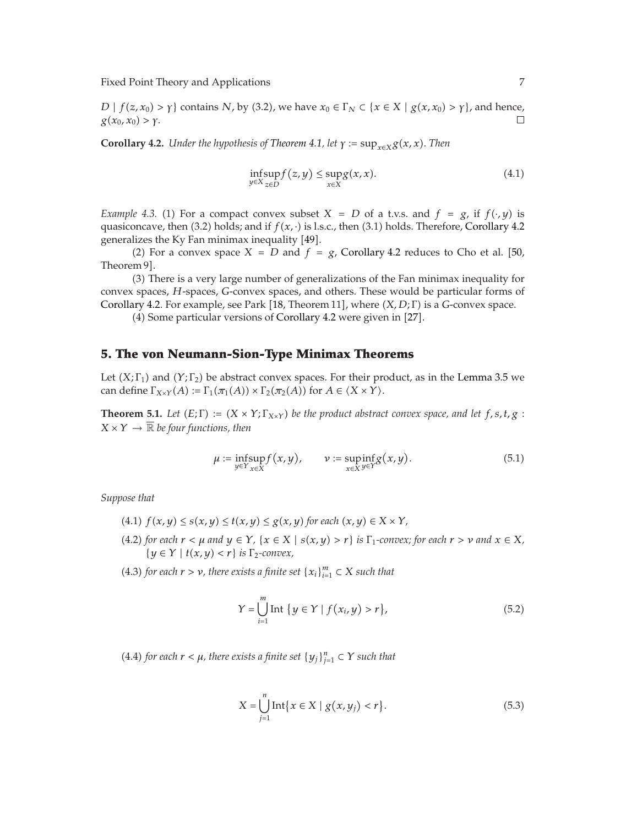*D*  $| f(z, x_0) > \gamma$  contains *N*, by (3.2), we have  $x_0 \in \Gamma_N \subset \{x \in X \mid g(x, x_0) > \gamma\}$ , and hence, *g*( $x_0$ *, x*<sub>0</sub>) > γ.

<span id="page-6-1"></span>**Corollary 4.2.** *Under the hypothesis of [Theorem 4.1,](#page-5-1) let*  $\gamma := \sup_{x \in X} g(x, x)$ *. Then* 

$$
\inf_{y \in X} \sup_{z \in D} f(z, y) \le \sup_{x \in X} g(x, x). \tag{4.1}
$$

*Example 4.3.* (1) For a compact convex subset  $X = D$  of a t.v.s. and  $f = g$ , if  $f(\cdot, y)$  is quasiconcave, then  $(3.2)$  holds; and if  $f(x, \cdot)$  is l.s.c., then  $(3.1)$  holds. Therefore, [Corollary 4.2](#page-6-1) generalizes the Ky Fan minimax inequality  $[49]$  $[49]$  $[49]$ .

(2) For a convex space  $X = D$  and  $f = g$ , [Corollary 4.2](#page-6-1) reduces to Cho et al. [[50,](#page-21-23) m 9] Theorem 9].

3 There is a very large number of generalizations of the Fan minimax inequality for convex spaces, *H*-spaces, *G*-convex spaces, and others. These would be particular forms of [Corollary 4.2.](#page-6-1) For example, see Park [[18](#page-20-16), Theorem 11], where *(X, D*; Γ) is a *G*-convex space.<br>(4) Some particular versions of *Corollary 4.2 were given* in [27]

(4) Some particular versions of [Corollary 4.2](#page-6-1) were given in [[27](#page-21-6)].

#### <span id="page-6-0"></span>**5. The von Neumann-Sion-Type Minimax Theorems**

<span id="page-6-2"></span>Let  $(X; \Gamma_1)$  and  $(Y; \Gamma_2)$  be abstract convex spaces. For their product, as in the [Lemma 3.5](#page-5-2) we can define  $\Gamma_{X\times Y}(A) := \Gamma_1(\pi_1(A)) \times \Gamma_2(\pi_2(A))$  for  $A \in \langle X \times Y \rangle$ .

**Theorem 5.1.** *Let*  $(E; \Gamma) := (X \times Y; \Gamma_{X \times Y})$  *be the product abstract convex space, and let*  $f, s, t, g$ :  $X \times Y \rightarrow \overline{\mathbb{R}}$  *be four functions, then* 

$$
\mu := \underset{y \in Y}{\text{infsup}} f(x, y), \qquad \nu := \underset{x \in X}{\text{supinf}} g(x, y). \tag{5.1}
$$

*Suppose that*

- $f(x, y) \leq s(x, y) \leq t(x, y) \leq g(x, y)$  for each  $(x, y) \in X \times Y$ ,
- $(4.2)$  for each  $r < \mu$  and  $y \in Y$ ,  $\{x \in X \mid s(x, y) > r\}$  is  $\Gamma_1$ -convex; for each  $r > \nu$  and  $x \in X$ ,  $\{y \in Y \mid t(x, y) < r\}$  *is*  $\Gamma_2$ -convex,

**(4.3)** for each  $r > v$ , there exists a finite set  $\{x_i\}_{i=1}^m \subset X$  such that

$$
Y = \bigcup_{i=1}^{m} \text{Int } \{ y \in Y \mid f(x_i, y) > r \},\tag{5.2}
$$

*(***4.4)** for each  $r < \mu$ , there exists a finite set  $\{y_j\}_{j=1}^n \subset Y$  such that

$$
X = \bigcup_{j=1}^{n} \text{Int}\{x \in X \mid g(x, y_j) < r\}.\tag{5.3}
$$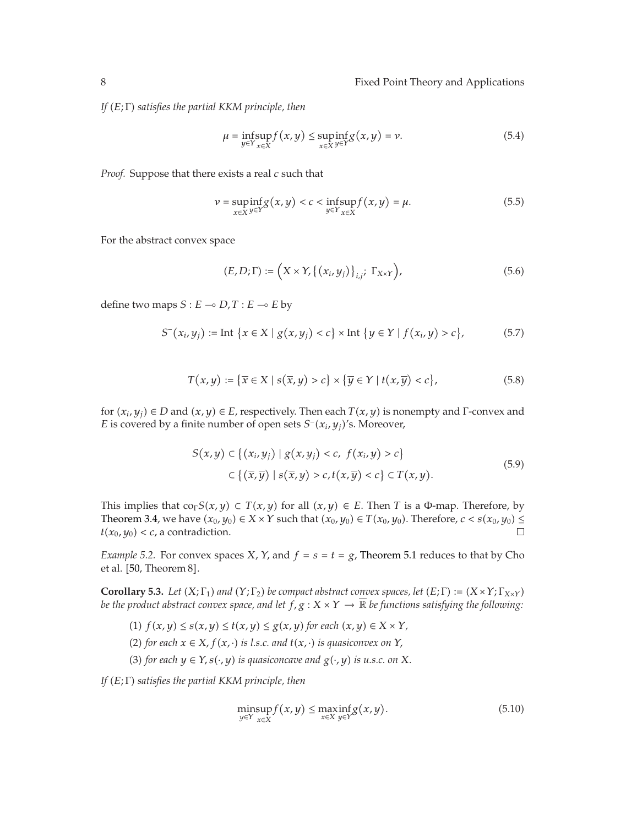*If E*; Γ *satisfies the partial KKM principle, then*

$$
\mu = \underset{y \in Y}{\text{infsup}} f(x, y) \le \underset{x \in X}{\text{supinf}} g(x, y) = \nu. \tag{5.4}
$$

*Proof.* Suppose that there exists a real *c* such that

$$
\nu = \underset{x \in X}{\text{supinf}} g(x, y) < c < \underset{y \in Y}{\text{inf}} \underset{x \in X}{\text{sup}} f(x, y) = \mu. \tag{5.5}
$$

For the abstract convex space

$$
(E, D; \Gamma) := \left( X \times Y, \left\{ (x_i, y_j) \right\}_{i,j}; \Gamma_{X \times Y} \right), \tag{5.6}
$$

define two maps  $S: E \to D, T: E \to E$  by

$$
S^{-}(x_{i}, y_{j}) := \text{Int} \{x \in X \mid g(x, y_{j}) < c\} \times \text{Int} \{y \in Y \mid f(x_{i}, y) > c\},\tag{5.7}
$$

$$
T(x,y) := \{ \overline{x} \in X \mid s(\overline{x},y) > c \} \times \{ \overline{y} \in Y \mid t(x,\overline{y}) < c \},\tag{5.8}
$$

for  $(x_i, y_j) \in D$  and  $(x, y) \in E$ , respectively. Then each  $T(x, y)$  is nonempty and  $\Gamma$ -convex and *E* is covered by a finite number of open sets  $S^-(x_i, y_j)$ 's. Moreover,

$$
S(x,y) \subset \{(x_i,y_j) \mid g(x,y_j) < c, \ f(x_i,y) > c\} \\
\subset \{(\overline{x},\overline{y}) \mid s(\overline{x},y) > c, t(x,\overline{y}) < c\} \subset T(x,y). \tag{5.9}
$$

This implies that  $\text{co}_\Gamma S(x, y) \subset T(x, y)$  for all  $(x, y) \in E$ . Then *T* is a Φ-map. Therefore, by [Theorem 3.4,](#page-5-3) we have  $(x_0, y_0) \in X \times Y$  such that  $(x_0, y_0) \in T(x_0, y_0)$ . Therefore,  $c < s(x_0, y_0) \le t(x_0, y_0) < c$ , a contradiction.  $t(x_0, y_0) < c$ , a contradiction.

*Example 5.2.* For convex spaces *X*, *Y*, and  $f = s = t = g$ , [Theorem 5.1](#page-6-2) reduces to that by Cho et al. [[50,](#page-21-23) Theorem 8].

<span id="page-7-0"></span>**Corollary 5.3.** *Let*  $(X; \Gamma_1)$  *and*  $(Y; \Gamma_2)$  *be compact abstract convex spaces, let*  $(E; \Gamma) := (X \times Y; \Gamma_{X \times Y})$ *be the product abstract convex space, and let*  $f$ ,  $g: X \times Y \to \overline{\mathbb{R}}$  *be functions satisfying the following:* 

- $f(x, y) \leq s(x, y) \leq t(x, y) \leq g(x, y)$  *for each*  $(x, y) \in X \times Y$ ,
- (2) for each  $x \in X$ ,  $f(x, \cdot)$  *is l.s.c. and*  $f(x, \cdot)$  *is quasiconvex on*  $Y$ ,
- (3) for each  $y \in Y$ ,  $s(\cdot, y)$  *is quasiconcave and*  $g(\cdot, y)$  *is u.s.c. on* X.

*If E*; Γ *satisfies the partial KKM principle, then*

$$
\underset{y \in Y}{\text{minsup}} f(x, y) \le \underset{x \in X}{\text{maxinf}} g(x, y). \tag{5.10}
$$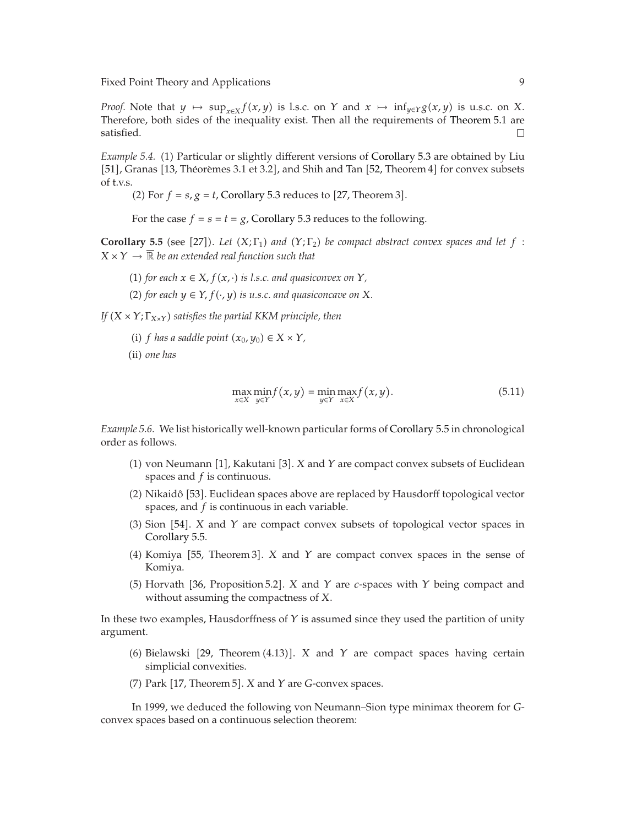*Proof.* Note that *y*  $\mapsto$  sup<sub>*x*∈*X*</sub>*f*(*x, y*) is l.s.c. on *Y* and *x*  $\mapsto$  inf<sub>*y*∈*Y*</sub> $g(x, y)$  is u.s.c. on *X*. Therefore, both sides of the inequality exist. Then all the requirements of [Theorem 5.1](#page-6-2) are satisfied.  $\Box$ 

*Example 5.4.* (1) Particular or slightly different versions of [Corollary 5.3](#page-7-0) are obtained by Liu  $[51]$  $[51]$  $[51]$ , Granas  $[13$ , Théorèmes 3.1 et 3.2], and Shih and Tan  $[52$  $[52$ , Theorem 4 $]$  for convex subsets of t.v.s.

(2) For  $f = s$ ,  $g = t$ , [Corollary 5.3](#page-7-0) reduces to  $[27$  $[27$ , Theorem 3.

For the case  $f = s = t = g$ , [Corollary 5.3](#page-7-0) reduces to the following.

<span id="page-8-0"></span>**Corollary 5.5** (see [[27](#page-21-6)]). Let  $(X; \Gamma_1)$  and  $(Y; \Gamma_2)$  be compact abstract convex spaces and let  $f : X \times Y \to \overline{\mathbb{R}}$  be an articulate used function such that  $X \times Y \to \overline{\mathbb{R}}$  be an extended real function such that

- (1) for each  $x \in X$ ,  $f(x, \cdot)$  is *l.s.c. and quasiconvex on*  $Y$ ,
- (2) for each  $y \in Y$ ,  $f(\cdot, y)$  is u.s.c. and quasiconcave on X.

*If*  $(X \times Y; \Gamma_{X \times Y})$  *satisfies the partial KKM principle, then* 

*(i) f* has a saddle point  $(x_0, y_0) \in X \times Y$ ,

(ii) one has

$$
\max_{x \in X} \min_{y \in Y} f(x, y) = \min_{y \in Y} \max_{x \in X} f(x, y). \tag{5.11}
$$

*Example 5.6.* We list historically well-known particular forms of [Corollary 5.5](#page-8-0) in chronological order as follows.

- ([1](#page-20-1)) von Neumann [1], Kakutani [[3](#page-20-3)]. *X* and *Y* are compact convex subsets of Euclidean spaces and  $f$  is continuous spaces and *f* is continuous.
- (2) Nikaidô [[53](#page-22-2)]. Euclidean spaces above are replaced by Hausdorff topological vector spaces, and *f* is continuous in each variable.
- (3) Sion [[54](#page-22-3)]. *X* and *Y* are compact convex subsets of topological vector spaces in Corollary  $55$ [Corollary 5.5.](#page-8-0)
- (4) Komiya [[55](#page-22-4), Theorem 3]. *X* and *Y* are compact convex spaces in the sense of Komiya Komiya.
- (5) Horvath [[36,](#page-21-9) Proposition 5.2]. *X* and *Y* are *c*-spaces with *Y* being compact and without assuming the compactness of *Y* without assuming the compactness of *X*.

In these two examples, Hausdorffness of *Y* is assumed since they used the partition of unity argument.

- (6) Bielawski [[29,](#page-21-4) Theorem  $(4.13)$ ]. *X* and *Y* are compact spaces having certain simplicial convoxitios simplicial convexities.
- (7) Park [[17](#page-20-15), Theorem 5]. *X* and *Y* are *G*-convex spaces.

<span id="page-8-1"></span>In 1999, we deduced the following von Neumann–Sion type minimax theorem for *G*convex spaces based on a continuous selection theorem: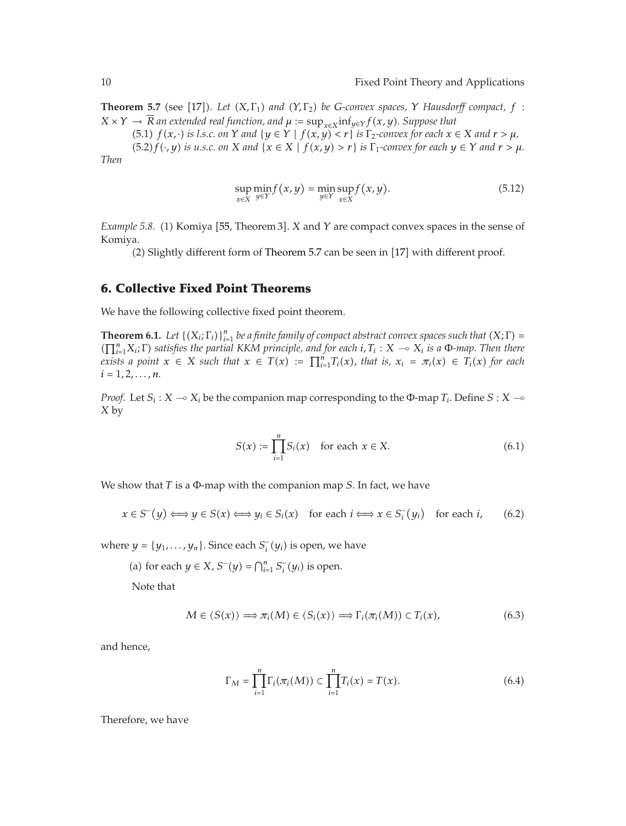**Theorem 5.7** (see [[17](#page-20-15)]). Let  $(X, \Gamma_1)$  and  $(Y, \Gamma_2)$  be *G*-convex spaces, *Y Hausdorff* compact, *f* :  $Y \cup Y \cup \overline{P}$  as whended used function and use space in f  $f(x, y)$  *Gunneer that*  $X \times Y \to \overline{R}$  *an extended real function, and*  $\mu := \sup_{x \in X} \inf_{y \in Y} f(x, y)$ *. Suppose that* 

 $f(x,1)$  *f*( $x, \cdot$ ) *is l.s.c. on*  $Y$  *and*  $\{y \in Y \mid f(x,y) < r\}$  *is*  $\Gamma_2$ -convex for each  $x \in X$  *and*  $r > \mu$ ,  $(5.2) f(\cdot, y)$  *is u.s.c. on*  $X$  *and*  $\{x \in X \mid f(x, y) > r\}$  *is*  $\Gamma_1$ *-convex for each*  $y \in Y$  *and*  $r > \mu$ *. Then*

$$
\sup_{x \in X} \min_{y \in Y} f(x, y) = \min_{y \in Y} \sup_{x \in X} f(x, y). \tag{5.12}
$$

*Example 5.8.* (1) Komiya [[55](#page-22-4), Theorem 3]. *X* and *Y* are compact convex spaces in the sense of *K*omiya Komiya.

 $(2)$  Slightly different form of [Theorem 5.7](#page-8-1) can be seen in  $[17]$  $[17]$  $[17]$  with different proof.

#### <span id="page-9-0"></span>**6. Collective Fixed Point Theorems**

<span id="page-9-1"></span>We have the following collective fixed point theorem.

**Theorem 6.1.** *Let*  $\{(X_i; \Gamma_i)\}_{i=1}^n$  *be a finite family of compact abstract convex spaces such that*  $(X; \Gamma) = \Gamma^n$  **X**. **F**) *satisfies the partial KKM principle, and for each i*  $T \cdot X = \alpha X$  *is a* **D**-man. Then there  $(\prod_{i=1}^{n} X_i; \Gamma)$  *satisfies the partial KKM principle, and for each*  $i, T_i : X \to X_i$  *is a* Φ*-map. Then there*<br>*exists a point*  $x \in X$  *such that*  $x \in T(x) := \Pi^n T_i(x)$  that is  $x_i = \pi_i(x) \in T_i(x)$  for each *exists a point*  $x \in X$  *such that*  $x \in T(x) := \prod_{i=1}^{n} T_i(x)$ , that is,  $x_i = \pi_i(x) \in T_i(x)$  for each  $i-1, 2, \ldots, n$  $i = 1, 2, \ldots, n$ .

*Proof.* Let  $S_i$  :  $X \to X_i$  be the companion map corresponding to the Φ-map  $T_i$ . Define  $S: X \to Y$ *X* by

$$
S(x) := \prod_{i=1}^{n} S_i(x) \quad \text{for each } x \in X. \tag{6.1}
$$

We show that *T* is a <sup>Φ</sup>-map with the companion map *S*. In fact, we have

$$
x \in S^-(y) \Longleftrightarrow y \in S(x) \Longleftrightarrow y_i \in S_i(x) \quad \text{for each } i \Longleftrightarrow x \in S_i^-(y_i) \quad \text{for each } i, \tag{6.2}
$$

where  $y = \{y_1, \ldots, y_n\}$ . Since each  $S_i^-(y_i)$  is open, we have

(a) for each 
$$
y \in X
$$
,  $S^-(y) = \bigcap_{i=1}^n S_i^-(y_i)$  is open.

Note that

$$
M \in \langle S(x) \rangle \Longrightarrow \pi_i(M) \in \langle S_i(x) \rangle \Longrightarrow \Gamma_i(\pi_i(M)) \subset T_i(x), \tag{6.3}
$$

and hence,

$$
\Gamma_M = \prod_{i=1}^n \Gamma_i(\pi_i(M)) \subset \prod_{i=1}^n T_i(x) = T(x).
$$
 (6.4)

Therefore, we have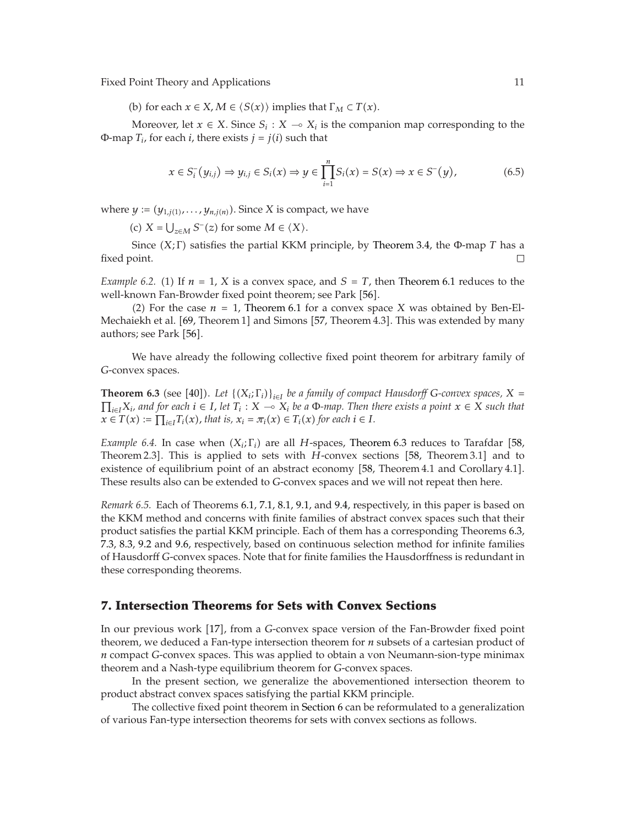(b) for each  $x \in X$ ,  $M \in \langle S(x) \rangle$  implies that  $\Gamma_M \subset T(x)$ .

Moreover, let  $x \in X$ . Since  $S_i : X \to X_i$  is the companion map corresponding to the  $T_i$  for each *i* there exists  $i = i(i)$  such that Φ-map  $T_i$ , for each *i*, there exists  $j = j(i)$  such that

$$
x \in S_i^-(y_{i,j}) \Rightarrow y_{i,j} \in S_i(x) \Rightarrow y \in \prod_{i=1}^n S_i(x) = S(x) \Rightarrow x \in S^-(y),
$$
 (6.5)

where  $y := (y_{1,i(1)}, \ldots, y_{n,i(n)})$ . Since *X* is compact, we have

(c)  $X = \bigcup_{z \in M} S^{-}(z)$  for some  $M \in \langle X \rangle$ .

Since  $(X; \Gamma)$  satisfies the partial KKM principle, by [Theorem 3.4,](#page-5-3) the Φ-map *T* has a point. fixed point.

*Example 6.2.* (1) If  $n = 1$ , *X* is a convex space, and  $S = T$ , then [Theorem 6.1](#page-9-1) reduces to the well-known Fan-Browder fixed point theorem; see Park [[56](#page-22-5)].

(2) For the case  $n = 1$ , [Theorem 6.1](#page-9-1) for a convex space *X* was obtained by Ben-El-Mechaiekh et al. [[69](#page-22-6), Theorem 1] and Simons [[57](#page-22-7), Theorem 4.3]. This was extended by many authors; see Park [[56](#page-22-5)].

<span id="page-10-1"></span>We have already the following collective fixed point theorem for arbitrary family of *G*-convex spaces.

**Theorem 6.3** (see [[40](#page-21-13)]). Let  $\{(X_i; \Gamma_i)\}_{i \in I}$  be a family of compact Hausdorff *G*-convex spaces,  $X = \Pi$ ,  $Y_i$ , and for each  $i \in I$ , let  $T_i : Y_i \to X$ , be a family them there exists a noint  $x \in X$  such that  $\prod_{i\in I} X_i$ *, and for each*  $i \in I$ *, let*  $T_i$  :  $X \to X_i$  *be a* Φ*-map. Then there exists a point*  $x \in X$  *such that*<br> $x \in T(x) := \prod_{i\in I} T_i(x)$  that is  $x_i = \pi_i(x) \in T_i(x)$  for each  $i \in I$  $x \in T(x) := \prod_{i \in I} T_i(x)$ , that is,  $x_i = \pi_i(x) \in T_i(x)$  for each  $i \in I$ .

*Example 6.4.* In case when  $(X_i; \Gamma_i)$  are all *H*-spaces, [Theorem 6.3](#page-10-1) reduces to Tarafdar [[58,](#page-22-8) Theorem 2.3] This is applied to sets with *H*-convoy sections [58, Theorem 3.1] and to Theorem 2.3]. This is applied to sets with *H*-convex sections [[58,](#page-22-8) Theorem 3.1] and to<br>existence of equilibrium point of an abstract economy [58, Theorem 4.1 and Corollary 4.1] existence of equilibrium point of an abstract economy [[58](#page-22-8), Theorem 4.1 and Corollary 4.1]. These results also can be extended to *G*-convex spaces and we will not repeat then here.

*Remark 6.5.* Each of Theorems [6.1,](#page-9-1) [7.1,](#page-11-0) [8.1,](#page-12-1) [9.1,](#page-13-1) and [9.4,](#page-14-0) respectively, in this paper is based on the KKM method and concerns with finite families of abstract convex spaces such that their product satisfies the partial KKM principle. Each of them has a corresponding Theorems [6.3,](#page-10-1) [7.3,](#page-12-2) [8.3,](#page-13-2) [9.2](#page-14-1) and [9.6,](#page-15-0) respectively, based on continuous selection method for infinite families of Hausdorff *G*-convex spaces. Note that for finite families the Hausdorffness is redundant in these corresponding theorems.

#### <span id="page-10-0"></span>**7. Intersection Theorems for Sets with Convex Sections**

In our previous work [[17](#page-20-15)], from a *G*-convex space version of the Fan-Browder fixed point<br>theorem, we deduced a Fan type intersection theorem for *n* subsets of a cartesian product of theorem, we deduced a Fan-type intersection theorem for *n* subsets of a cartesian product of *n* compact *G*-convex spaces. This was applied to obtain a von Neumann-sion-type minimax theorem and a Nash-type equilibrium theorem for *G*-convex spaces.

In the present section, we generalize the abovementioned intersection theorem to product abstract convex spaces satisfying the partial KKM principle.

The collective fixed point theorem in [Section 6](#page-9-0) can be reformulated to a generalization of various Fan-type intersection theorems for sets with convex sections as follows.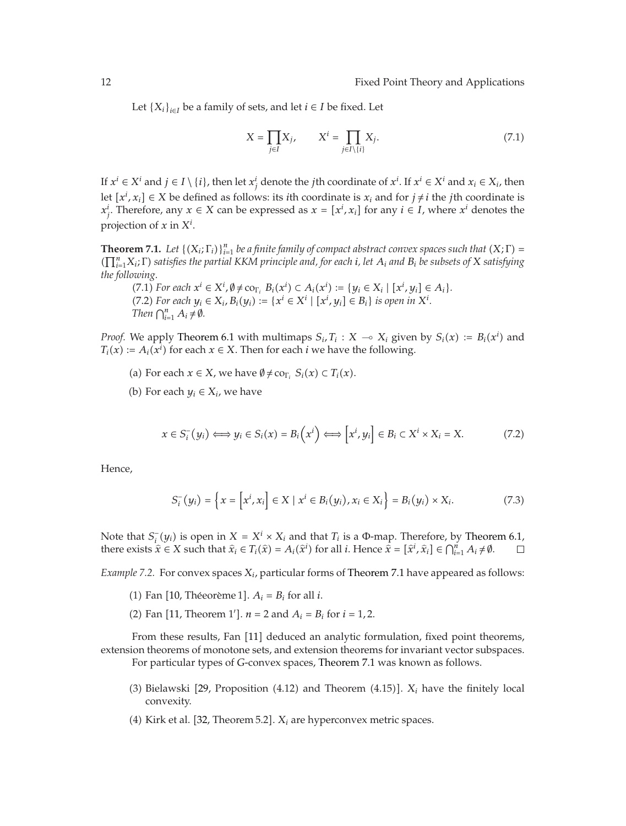Let  ${X_i}_{i \in I}$  be a family of sets, and let  $i \in I$  be fixed. Let

$$
X = \prod_{j \in I} X_j, \qquad X^i = \prod_{j \in I \setminus \{i\}} X_j. \tag{7.1}
$$

If  $x^i \in X^i$  and  $j \in I \setminus \{i\}$ , then let  $x^i_j$  denote the *j*th coordinate of  $x^i$ . If  $x^i \in X^i$  and  $x_i \in X_i$ , then<br>let  $\{x^i, y^j\} \in X$  be defined as follows: its illegending to is a small for its illegation which i let  $[x^i, x_i]$  ∈ *X* be defined as follows: its *i*th coordinate is  $x_i$  and for  $j \neq i$  the *j*th coordinate is  $x^i$ . Therefore, any  $x \in X$  can be expressed as  $x = [x^i, x_i]$  for any  $i \in I$ , where  $x^i$  denotes the *xi x*<sup>*i*</sup>, Therefore, any *x* ∈ *X* can be expressed as *x* =  $[x^i, x_i]$  for any *i* ∈ *I*, where *x*<sup>*i*</sup> denotes the projection of *x* in *X<sup>i</sup>* .

<span id="page-11-0"></span>**Theorem 7.1.** *Let*  $\{(X_i; \Gamma_i)\}_{i=1}^n$  *be a finite family of compact abstract convex spaces such that*  $(X; \Gamma) = \Gamma^n$  *X:*  $\Gamma$ *) <i>satisfies the partial KKM principle and for each i. let* A, and B, be subsets of X satisfin *n i*<sup>1</sup>*Xi*; Γ *satisfies the partial KKM principle and, for each <sup>i</sup>, let Ai and Bi be subsets of <sup>X</sup> satisfying the following.*

 $(7.1)$  *For each*  $x^{i} \in X^{i}$ ,  $\emptyset \neq$   $\text{co}_{Y_{i}}$ ,  $B_{i}(x^{i}) \subset A_{i}(x^{i}) := \{y_{i} \in X_{i} \mid [x^{i}, y_{i}] \in A_{i}\}.$ <br> $(7.2)$  *For each*  $y_{i} \in X_{i}$ ,  $B_{i}(y_{i}) := \{x^{i} \in X^{i} \mid [x^{i}, y_{i}] \in B_{i}\}$  *is onen in*  $X^{i}$ *xi*  $(7.2)$  *For each*  $y_i \in X_i$ ,  $B_i(y_i) := \{x^i \in X^i \mid [x^i, y_i] \in B_i\}$  *is open in*  $X^i$ .<br>Then  $\bigcap^n A_i \neq \emptyset$ *Then*  $\bigcap_{i=1}^{n} A_i \neq \emptyset$ *.* 

*Proof.* We apply [Theorem 6.1](#page-9-1) with multimaps  $S_i, T_i : X \to X_i$  given by  $S_i(x) := B_i(x^i)$  and  $T_i(x) := A_i(x^i)$  for each  $x \in X$ . Then for each i we have the following *T<sub>i</sub>*(*x*) : *A<sub>i</sub>*(*x*<sup>*i*</sup>) for each *x* ∈ *X*. Then for each *i* we have the following.

- (a) For each  $x \in X$ , we have  $\emptyset \neq \text{co}_{\Gamma_i} S_i(x) \subset T_i(x)$ .
- (b) For each  $y_i \in X_i$ , we have

$$
x \in S_i^-(y_i) \Longleftrightarrow y_i \in S_i(x) = B_i\left(x^i\right) \Longleftrightarrow \left[x^i, y_i\right] \in B_i \subset X^i \times X_i = X. \tag{7.2}
$$

Hence,

$$
S_i^-(y_i) = \left\{ x = \left[ x^i, x_i \right] \in X \mid x^i \in B_i(y_i), x_i \in X_i \right\} = B_i(y_i) \times X_i.
$$
 (7.3)

Note that *S*<sup>−</sup><sub>*i*</sub> (*y<sub>i</sub>*) is open in *X* = *X<sup>i</sup>* × *X<sub>i</sub>* and that *T<sub>i</sub>* is a Φ-map. Therefore, by [Theorem 6.1,](#page-9-1) there exists  $\hat{x} \in X$  such that  $\hat{x} \in T(\hat{x}) = A(\hat{x}^i)$  for all *i* Hence  $\hat{x} = [\hat{x}^i \hat{x} \cdot 1 \in C^{\mu}$ there exists  $\hat{x} \in X$  such that  $\hat{x}_i \in T_i(\hat{x}) = A_i(\hat{x}^i)$  for all *i*. Hence  $\hat{x} = [\hat{x}^i, \hat{x}_i] \in \bigcap_{i=1}^n A_i \neq \emptyset$ .

*Example 7.2.* For convex spaces  $X_i$ , particular forms of [Theorem 7.1](#page-11-0) have appeared as follows:

- (1) Fan [[10](#page-20-10), Théeorème 1].  $A_i = B_i$  for all *i*.
- (2) Fan [[11](#page-20-11), Theorem 1'].  $n = 2$  and  $A_i = B_i$  for  $i = 1, 2$ .

From these results, Fan [[11](#page-20-11)] deduced an analytic formulation, fixed point theorems, extension theorems of monotone sets, and extension theorems for invariant vector subspaces. For particular types of *G*-convex spaces, [Theorem 7.1](#page-11-0) was known as follows.

- (3) Bielawski [[29,](#page-21-4) Proposition (4.12) and Theorem (4.15)].  $X_i$  have the finitely local convoxity convexity.
- $(4)$  Kirk et al. [[32,](#page-21-24) Theorem 5.2].  $X_i$  are hyperconvex metric spaces.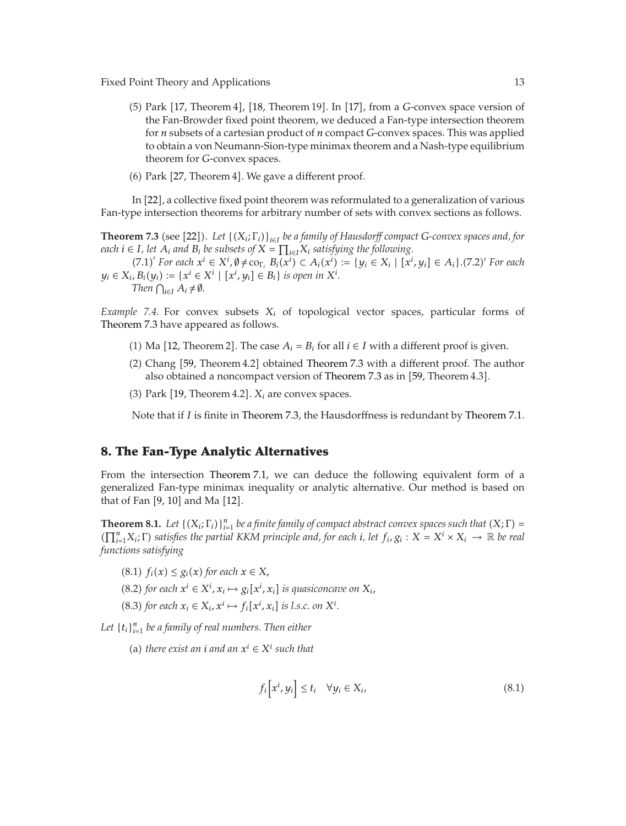- (5) Park [[17,](#page-20-15) Theorem 4], [[18](#page-20-16), Theorem 19]. In [[17](#page-20-15)], from a *G*-convex space version of the Ean Brought fixed point theorem we deduced a Ean type intersection theorem the Fan-Browder fixed point theorem, we deduced a Fan-type intersection theorem for *n* subsets of a cartesian product of *n* compact *G*-convex spaces. This was applied to obtain a von Neumann-Sion-type minimax theorem and a Nash-type equilibrium theorem for *G*-convex spaces.
- $(6)$  Park  $[27,$  $[27,$  $[27,$  Theorem 4. We gave a different proof.

<span id="page-12-2"></span>In [[22](#page-21-1)], a collective fixed point theorem was reformulated to a generalization of various Fan-type intersection theorems for arbitrary number of sets with convex sections as follows.

**Theorem 7.3** (see [[22](#page-21-1)]). Let  $\{(X_i; \Gamma_i)\}_{i \in I}$  be a family of Hausdorff compact *G*-convex spaces and, for *each*  $i \in I$ , let  $A_i$  *and*  $B_i$  *be subsets of*  $X = \prod_{i \in I} X_i$  *satisfying the following.* 

(7.1)' For each  $x^i \in X^i$ ,  $\emptyset \neq \text{co}_{\Gamma_i} B_i(x^i) \subset A_i(x^i) := \{y_i \in X_i \mid [x^i, y_i] \in A_i\}$ . (7.2)' For each  $B_i(u) := \{x^i \in X^i \mid [x^i, u] \in B_i\}$  is onen in  $X^i$ .  $y_i \in X_i, B_i(y_i) := \{x^i \in X^i \mid [x^i, y_i] \in B_i\}$  *is open in*  $X^i$ .<br>Then  $\bigcirc$   $A_i \neq \emptyset$ *Then*  $\bigcap_{i \in I} A_i \neq \emptyset$ *.* 

*Example 7.4.* For convex subsets *Xi* of topological vector spaces, particular forms of [Theorem 7.3](#page-12-2) have appeared as follows.

- (1) Ma [[12](#page-20-12), Theorem 2]. The case  $A_i = B_i$  for all  $i \in I$  with a different proof is given.
- $(2)$  Chang  $[59,$  $[59,$  Theorem 4.2 $]$  obtained [Theorem 7.3](#page-12-2) with a different proof. The author also obtained a noncompact version of [Theorem 7.3](#page-12-2) as in [[59](#page-22-9), Theorem 4.3].
- $(3)$  Park [[19](#page-20-18), Theorem 4.2].  $X_i$  are convex spaces.

Note that if *I* is finite in [Theorem 7.3,](#page-12-2) the Hausdorffness is redundant by [Theorem 7.1.](#page-11-0)

#### <span id="page-12-0"></span>**8. The Fan-Type Analytic Alternatives**

From the intersection [Theorem 7.1,](#page-11-0) we can deduce the following equivalent form of a generalized Fan-type minimax inequality or analytic alternative. Our method is based on that of Fan [[9](#page-20-9), [10](#page-20-10)] and Ma [[12](#page-20-12)].

<span id="page-12-1"></span>**Theorem 8.1.** *Let*  $\{(X_i; \Gamma_i)\}_{i=1}^n$  *be a finite family of compact abstract convex spaces such that*  $(X; \Gamma) = \Gamma^n$  *X;*  $\Gamma$ *) <i>satisfies the partial KKM principle and, for each i, let,*  $f, g_i : X - X^i \times X$ *,*  $\rightarrow \mathbb{R}$  *be re*  $\iint_{i=1}^{n} X_i$ ; *Γ*) satisfies the partial KKM principle and, for each *i*, let  $f_i$ ,  $g_i : X = X^i \times X_i \to \mathbb{R}$  be real functions estisfuing *functions satisfying*

- $(8.1)$   $f_i(x) \leq g_i(x)$  for each  $x \in X$ ,
- $(8.2)$  *for each*  $x^i \in X^i$ ,  $x_i \mapsto g_i[x^i, x_i]$  *is quasiconcave on*  $X_i$ ,
- $(8.3)$  *for each*  $x_i \in X_i$ ,  $x^i \mapsto f_i[x^i, x_i]$  *is l.s.c. on*  $X^i$ *.*

Let  $\{t_i\}_{i=1}^n$  be a family of real numbers. Then either

(a) *there exist an <i>i and an*  $x^i \in X^i$  *such that* 

$$
f_i\big[x^i, y_i\big] \le t_i \quad \forall y_i \in X_i,
$$
\n(8.1)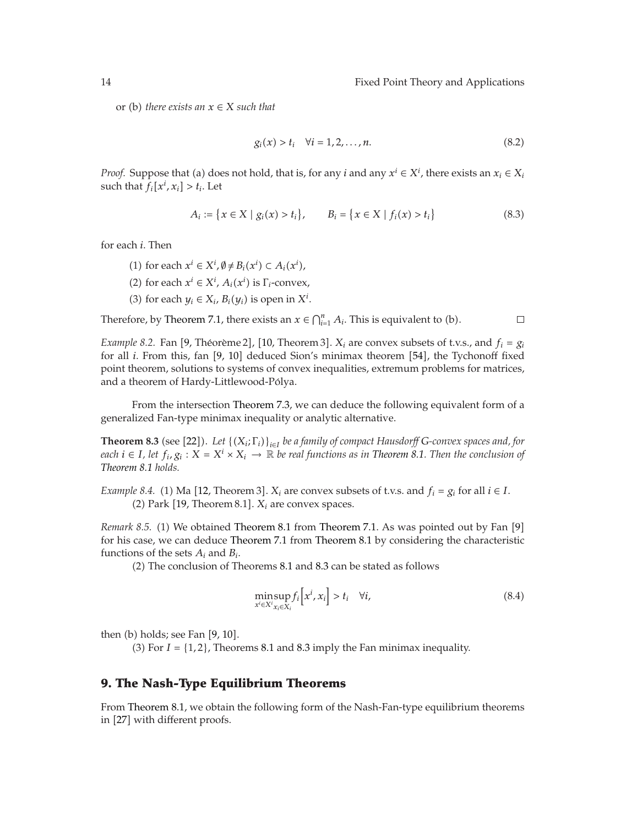or (b) *there exists an*  $x \in X$  *such that* 

$$
g_i(x) > t_i \quad \forall i = 1, 2, \dots, n. \tag{8.2}
$$

*Proof.* Suppose that (a) does not hold, that is, for any *i* and any  $x^i \in X^i$ , there exists an  $x_i \in X_i$ <br>such that  $f_i[x^i, x_i] > t$ . Let such that  $f_i[x^i, x_i] > t_i$ . Let

$$
A_i := \{ x \in X \mid g_i(x) > t_i \}, \qquad B_i = \{ x \in X \mid f_i(x) > t_i \} \tag{8.3}
$$

for each *i*. Then

- (1) for each  $x^i$  ∈  $X^i$ ,  $\emptyset \neq B_i(x^i)$  ⊂  $A_i(x^i)$ ,  $\emptyset$
- (2) for each  $x^i \in X^i$ ,  $A_i(x^i)$  is  $\Gamma_i$ -convex,
- (3) for each  $y_i \in X_i$ ,  $B_i(y_i)$  is open in  $X^i$ .

Therefore, by [Theorem 7.1,](#page-11-0) there exists an  $x \in \bigcap_{i=1}^n A_i$ . This is equivalent to (b).

 $\Box$ 

*Example 8.2.* Fan [[9,](#page-20-9) Théorème 2], [[10,](#page-20-10) Theorem 3].  $X_i$  are convex subsets of t.v.s., and  $f_i = g_i$ <br>for all *i*. From this, fan [9, 10] doduced Sion's minimax theorem [54], the Tychonoff fixed for all *i*. From this, fan [[9,](#page-20-9) [10](#page-20-10)] deduced Sion's minimax theorem [[54](#page-22-3)], the Tychonoff fixed<br>point theorem solutions to systems of convoy inequalities extremum problems for matrices point theorem, solutions to systems of convex inequalities, extremum problems for matrices, and a theorem of Hardy-Littlewood-Polya. ´

<span id="page-13-2"></span>From the intersection [Theorem 7.3,](#page-12-2) we can deduce the following equivalent form of a generalized Fan-type minimax inequality or analytic alternative.

**Theorem 8.3** (see [[22](#page-21-1)]). Let  $\{(X_i; \Gamma_i)\}_{i \in I}$  be a family of compact Hausdorff G-convex spaces and, for  $\{e_i\}_{i \in I}$  let  $f_i, \alpha_i : X \to X^i \times X$ ,  $\to \mathbb{R}$  be real functions as in Theorem 8.1. Then the conclusion of *each i* ∈ *I,* let  $f_i$ ,  $g_i$  :  $X = X^i \times X_i$  → R *be real functions as in [Theorem 8.1.](#page-12-1) Then the conclusion of [Theorem 8.1](#page-12-1) holds.*

*Example 8.4.* (1) Ma [[12,](#page-20-12) Theorem 3].  $X_i$  are convex subsets of t.v.s. and  $f_i = g_i$  for all  $i \in I$ .<br>(2) Park [19, Theorem 8.1],  $X_i$  are convex spaces  $(2)$  Park  $[19,$  $[19,$  Theorem 8.1].  $X_i$  are convex spaces.

Remark 8.5. (1) We obtained [Theorem 8.1](#page-12-1) from [Theorem 7.1.](#page-11-0) As was pointed out by Fan [[9](#page-20-9)] for his case, we can deduce [Theorem 7.1](#page-11-0) from [Theorem 8.1](#page-12-1) by considering the characteristic functions of the sets *Ai* and *Bi*.

2 The conclusion of Theorems [8.1](#page-12-1) and [8.3](#page-13-2) can be stated as follows

$$
\min_{x^i \in X^i} \sup_{x_i \in X_i} f_i\left[x^i, x_i\right] > t_i \quad \forall i,\tag{8.4}
$$

then  $(b)$  holds; see Fan  $[9, 10]$  $[9, 10]$  $[9, 10]$  $[9, 10]$  $[9, 10]$ .

(3) For  $I = \{1, 2\}$ , Theorems [8.1](#page-12-1) and [8.3](#page-13-2) imply the Fan minimax inequality.

## <span id="page-13-0"></span>**9. The Nash-Type Equilibrium Theorems**

<span id="page-13-1"></span>From [Theorem 8.1,](#page-12-1) we obtain the following form of the Nash-Fan-type equilibrium theorems in [[27](#page-21-6)] with different proofs.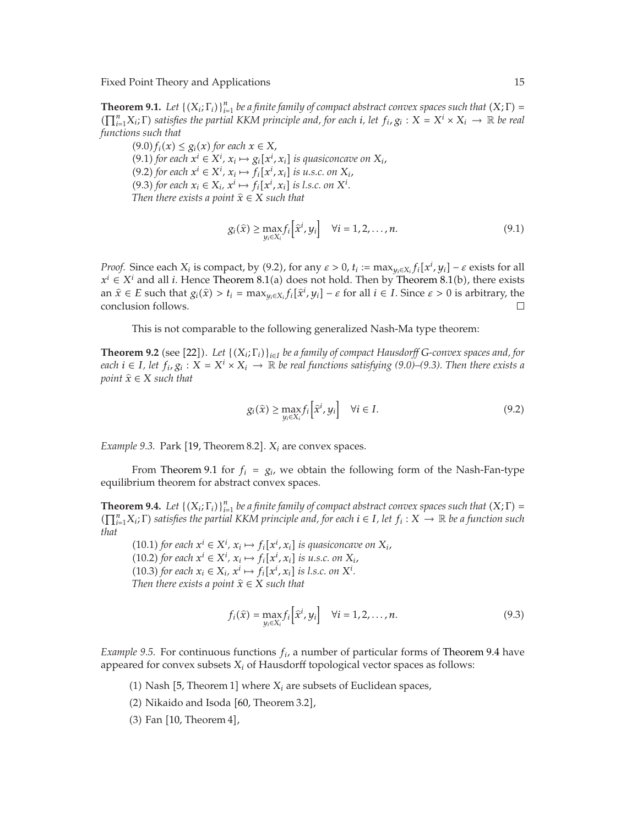**Theorem 9.1.** *Let*  $\{(X_i; \Gamma_i)\}_{i=1}^n$  *be a finite family of compact abstract convex spaces such that*  $(X; \Gamma) =$ <br> $(\Gamma^n \times \Gamma)$  *satisfies the partial KKM principle and, for each i, let*  $f, \alpha : X = X^i \times X$ *,*  $\longrightarrow \mathbb{R}$  *be real.*  $(\prod_{i=1}^{n} X_i; \Gamma)$  *satisfies the partial KKM principle and, for each <i>i*, *let*  $f_i, g_i : X = X^i \times X_i \rightarrow \mathbb{R}$  *be real functions such that functions such that*

 $(9.0) f_i(x) \leq g_i(x)$  for each  $x \in X$ ,  $(9.1)$  *for each*  $x^i \in X^i$ ,  $x_i \mapsto g_i[x^i, x_i]$  *is quasiconcave on*  $X_i$ ,<br> $(9.2)$  *for each*  $x^i \in X^i$ ,  $x_i \mapsto f_i[x^i, x_i]$  *is u.s.c. on*  $X_i$ . *xi*  $(9.2)$  *for each*  $x^i \in X^i$ ,  $x_i \mapsto f_i[x^i, x_i]$  *is u.s.c. on*  $X_i$ ,<br> $(9.3)$  *for each*  $x \in X$ ,  $x^i \mapsto f_i[x^i, x_i]$  *is l.s.c. on*  $X^i$ *xi*  $(9.3)$  *for each*  $x_i \in X_i$ ,  $x^i \mapsto f_i[x^i, x_i]$  *is l.s.c. on*  $X^i$ *.* Then there exists a noint  $\hat{x} \in X$  such that *xi Then there exists a point*  $\widehat{x} \in X$  *such that* 

$$
g_i(\hat{x}) \ge \max_{y_i \in X_i} f_i\left[\hat{x}^i, y_i\right] \quad \forall i = 1, 2, \dots, n. \tag{9.1}
$$

*Proof.* Since each  $X_i$  is compact, by (9.2), for any  $\varepsilon > 0$ ,  $t_i := \max_{y_i \in X_i} f_i[x^i, y_i] - \varepsilon$  exists for all  $\vec{y}$  +  $\sum_{y_i \in X_i} f_i(x^i, y_i)$  +  $\vec{y}$  exists for all  $\vec{y}$  +  $\sum_{y_i \in X_i} f_i(x^i, y_i)$  +  $\vec{y}$  +  $\vec{y}$  + *xi x<sup><i>i*</sup> ∈ *X<sup><i>i*</sup> and all *i*. Hence [Theorem 8.1](#page-12-1)(a) does not hold. Then by Theorem 8.1(b), there exists  $\hat{x} \in F$  such that  $\alpha(\hat{x}) > t$ ,  $\hat{y} = mx$ ,  $\alpha f_i[\hat{x}^i, u_j] = c$  for all  $i \in I$ . Since  $c > 0$  is arbitrary the an  $\hat{x} \in E$  such that  $g_i(\hat{x}) > t_i = \max_{y_i \in X_i} f_i[\hat{x}^i, y_i] - \varepsilon$  for all  $i \in I$ . Since  $\varepsilon > 0$  is arbitrary, the conclusion follows conclusion follows.

This is not comparable to the following generalized Nash-Ma type theorem:

<span id="page-14-1"></span>**Theorem 9.2** (see [[22](#page-21-1)]). Let  $\{(X_i; \Gamma_i)\}_{i \in I}$  be a family of compact Hausdorff G-convex spaces and, for  $\{e_i\}_{i \in I}$  let  $f_i \alpha_i : X - X^i \times X_i \to \mathbb{R}$  be real functions satisfying (9.0)–(9.3). Then there exists a *each*  $i \in I$ *, let*  $f_i, g_i : X = X^i \times X_i \rightarrow \mathbb{R}$  *be real functions satisfying (9.0)–(9.3). Then there exists a point*  $\hat{x} \in X$  *such that* 

$$
g_i(\hat{x}) \ge \max_{y_i \in X_i} f_i\left[\hat{x}^i, y_i\right] \quad \forall i \in I. \tag{9.2}
$$

*Example 9.3.* Park [[19](#page-20-18), Theorem 8.2].  $X_i$  are convex spaces.

<span id="page-14-0"></span>From [Theorem 9.1](#page-13-1) for  $f_i = g_i$ , we obtain the following form of the Nash-Fan-type equilibrium theorem for abstract convex spaces.

**Theorem 9.4.** *Let*  $\{(X_i; \Gamma_i)\}_{i=1}^n$  *be a finite family of compact abstract convex spaces such that*  $(X; \Gamma) = \Gamma^n$  *X:*  $\Gamma$ *) <i>satisfies the partial KKM principle and for each*  $i \in I$  *let*  $f_i : X \to \mathbb{R}$  *be a function su*  $(\prod_{i=1}^{n} X_i; \Gamma)$  *satisfies the partial KKM principle and, for each*  $i \in I$ *, let*  $f_i: X \to \mathbb{R}$  *be a function such* that *that*

(10.1) *for each*  $x^i$  ∈  $X^i$ ,  $x_i$   $\mapsto f_i[x^i, x_i]$  *is quasiconcave on*  $X_i$ ,<br>(10.2) *for each*  $x^i$  ∈  $X^i$ ,  $x_{i+1}$ ,  $f_i[x^i, x_i]$  *is u* ∈ *c* on  $X_i$ . *xi*  $(10.2)$  for each  $x^i \in X^i$ ,  $x_i \mapsto f_i[x^i, x_i]$  is u.s.c. on  $X_i$ ,<br> $(10.3)$  for each  $x_i \in X$ ,  $x^i \mapsto f_i[x^i, x_i]$  is l s.c. on  $X^i$ *xi*  $(10.3)$  for each  $x_i \in X_i$ ,  $x^i \mapsto f_i[x^i, x_i]$  is l.s.c. on  $X^i$ .<br>Then there exists a noint  $\hat{x} \in X$  such that *xi Then there exists a point*  $\widehat{x} \in X$  *such that* 

$$
f_i(\hat{x}) = \max_{y_i \in X_i} f_i \left[ \hat{x}^i, y_i \right] \quad \forall i = 1, 2, \dots, n. \tag{9.3}
$$

*Example 9.5.* For continuous functions  $f_i$ , a number of particular forms of [Theorem 9.4](#page-14-0) have appeared for convex subsets *Xi* of Hausdorff topological vector spaces as follows:

- (1) Nash [[5](#page-20-5), Theorem 1] where  $X_i$  are subsets of Euclidean spaces,
- $(2)$  Nikaido and Isoda  $[60,$  $[60,$  Theorem 3.2],
- $(3)$  Fan  $[10,$  $[10,$  $[10,$  Theorem 4],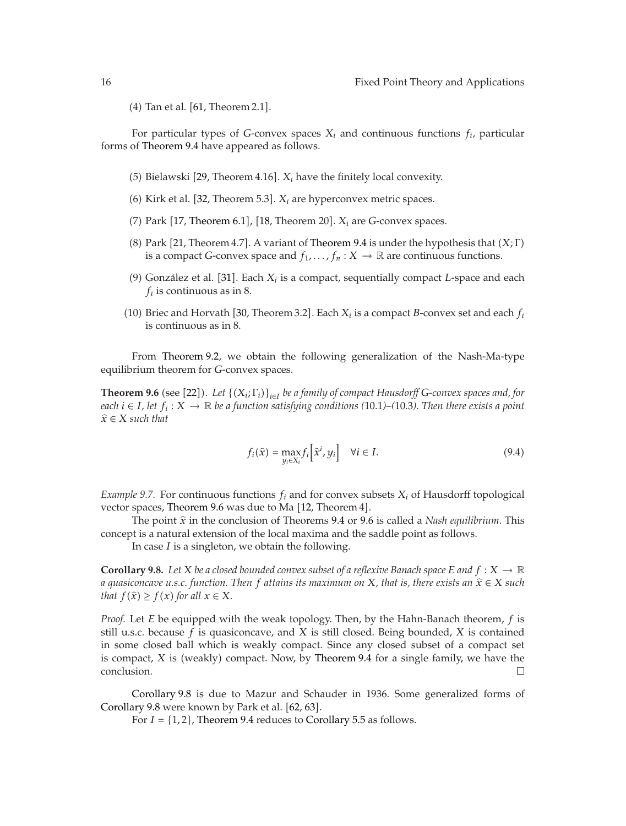$(4)$  Tan et al.  $[61,$  $[61,$  $[61,$  Theorem 2.1].

For particular types of *G*-convex spaces  $X_i$  and continuous functions  $f_i$ , particular forms of [Theorem 9.4](#page-14-0) have appeared as follows.

- (5) Bielawski [[29,](#page-21-4) Theorem 4.16].  $X_i$  have the finitely local convexity.
- (6) Kirk et al. [[32,](#page-21-24) Theorem 5.3].  $X_i$  are hyperconvex metric spaces.
- (7) Park  $[17,$  $[17,$  $[17,$  [Theorem 6.1](#page-9-1)],  $[18,$  $[18,$  Theorem 20].  $X_i$  are *G*-convex spaces.
- (8) Park [[21](#page-20-17), Theorem 4.7]. A variant of [Theorem 9.4](#page-14-0) is under the hypothesis that  $(X; \Gamma)$ <br>is a compact G-convox space and  $f_{\epsilon}$   $f : X \to \mathbb{R}$  are continuous functions is a compact *G*-convex space and  $f_1, \ldots, f_n : X \to \mathbb{R}$  are continuous functions.
- (9) González et al. [[31](#page-21-25)]. Each  $X_i$  is a compact, sequentially compact *L*-space and each  $f_i$  is continuous as in  $\mathcal{R}$  $f_i$  is continuous as in 8.
- (10) Briec and Horvath [[30,](#page-21-20) Theorem 3.2]. Each  $X_i$  is a compact *B*-convex set and each  $f_i$  is continuous as in  $\frac{8}{3}$ is continuous as in 8.

<span id="page-15-0"></span>From [Theorem 9.2,](#page-14-1) we obtain the following generalization of the Nash-Ma-type equilibrium theorem for *G*-convex spaces.

**Theorem 9.6** (see [[22](#page-21-1)]). Let  $\{(X_i; \Gamma_i)\}_{i \in I}$  be a family of compact Hausdorff G-convex spaces and, for a space of  $X_i$ ,  $Y_i \in I$  be a function catiofying conditions (10.1) (10.3). Then there exists a noint *each*  $i \in I$ *, let*  $f_i$  :  $X$  →  $ℝ$  *be a function satisfying conditions* (10*.*1*)*–(10*.*3*). Then there exists a point*  $\hat{x} \in X$  *such that* 

$$
f_i(\hat{x}) = \max_{y_i \in X_i} f_i \left[ \hat{x}^i, y_i \right] \quad \forall i \in I. \tag{9.4}
$$

*Example 9.7.* For continuous functions *fi* and for convex subsets *Xi* of Hausdorff topological vector spaces, [Theorem 9.6](#page-15-0) was due to Ma  $[12,$  $[12,$  $[12,$  Theorem  $4]$ .

The point  $\hat{x}$  in the conclusion of Theorems [9.4](#page-14-0) or [9.6](#page-15-0) is called a *Nash equilibrium*. This concept is a natural extension of the local maxima and the saddle point as follows.

In case *I* is a singleton, we obtain the following.

<span id="page-15-1"></span>**Corollary 9.8.** Let *X* be a closed bounded convex subset of a reflexive Banach space E and  $f: X \to \mathbb{R}$ *a quasiconcave u.s.c. function. Then f attains its maximum on X, that is, there exists an x* <sup>∈</sup> *X such that*  $f(\hat{x}) \ge f(x)$  *for all*  $x \in X$ *.* 

*Proof.* Let *E* be equipped with the weak topology. Then, by the Hahn-Banach theorem, *f* is still u.s.c. because *f* is quasiconcave, and *X* is still closed. Being bounded, *X* is contained in some closed ball which is weakly compact. Since any closed subset of a compact set is compact, *X* is (weakly) compact. Now, by [Theorem 9.4](#page-14-0) for a single family, we have the conclusion.

[Corollary 9.8](#page-15-1) is due to Mazur and Schauder in 1936. Some generalized forms of [Corollary 9.8](#page-15-1) were known by Park et al. [[62](#page-22-12), [63](#page-22-13)].

For  $I = \{1, 2\}$ , [Theorem 9.4](#page-14-0) reduces to [Corollary 5.5](#page-8-0) as follows.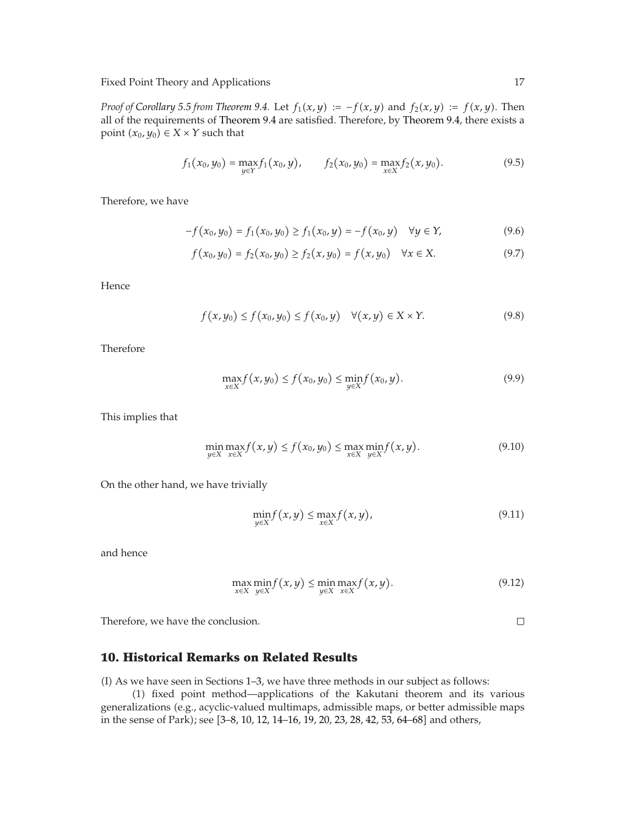*Proof of [Corollary 5.5](#page-8-0) from [Theorem 9.4.](#page-14-0)* Let  $f_1(x, y) := -f(x, y)$  and  $f_2(x, y) := f(x, y)$ . Then all of the requirements of [Theorem 9.4](#page-14-0) are satisfied. Therefore, by [Theorem 9.4,](#page-14-0) there exists a point  $(x_0, y_0) \in X \times Y$  such that

$$
f_1(x_0, y_0) = \max_{y \in Y} f_1(x_0, y), \qquad f_2(x_0, y_0) = \max_{x \in X} f_2(x, y_0).
$$
 (9.5)

Therefore, we have

$$
-f(x_0, y_0) = f_1(x_0, y_0) \ge f_1(x_0, y) = -f(x_0, y) \quad \forall y \in Y,
$$
\n(9.6)

$$
f(x_0, y_0) = f_2(x_0, y_0) \ge f_2(x, y_0) = f(x, y_0) \quad \forall x \in X.
$$
 (9.7)

Hence

$$
f(x,y_0) \le f(x_0,y_0) \le f(x_0,y) \quad \forall (x,y) \in X \times Y. \tag{9.8}
$$

Therefore

$$
\max_{x \in X} f(x, y_0) \le f(x_0, y_0) \le \min_{y \in X} f(x_0, y). \tag{9.9}
$$

This implies that

$$
\min_{y \in X} \max_{x \in X} f(x, y) \le f(x_0, y_0) \le \max_{x \in X} \min_{y \in X} f(x, y).
$$
\n(9.10)

On the other hand, we have trivially

$$
\min_{y \in X} f(x, y) \le \max_{x \in X} f(x, y),\tag{9.11}
$$

and hence

$$
\max_{x \in X} \min_{y \in X} f(x, y) \le \min_{y \in X} \max_{x \in X} f(x, y). \tag{9.12}
$$

Therefore, we have the conclusion.

#### <span id="page-16-0"></span>**10. Historical Remarks on Related Results**

 $I$  As we have seen in Sections [1–](#page-0-0)[3,](#page-4-0) we have three methods in our subject as follows:

1 fixed point method—applications of the Kakutani theorem and its various generalizations (e.g., acyclic-valued multimaps, admissible maps, or better admissible maps in the sense of Park); see [[3](#page-20-3)[–8](#page-20-8), [10](#page-20-10), [12](#page-20-12), [14](#page-20-14)[–16](#page-20-19), [19](#page-20-18), [20,](#page-20-20) [23,](#page-21-26) [28,](#page-21-0) [42,](#page-21-14) [53,](#page-22-2) [64](#page-22-14)[–68](#page-22-15)] and others,

 $\Box$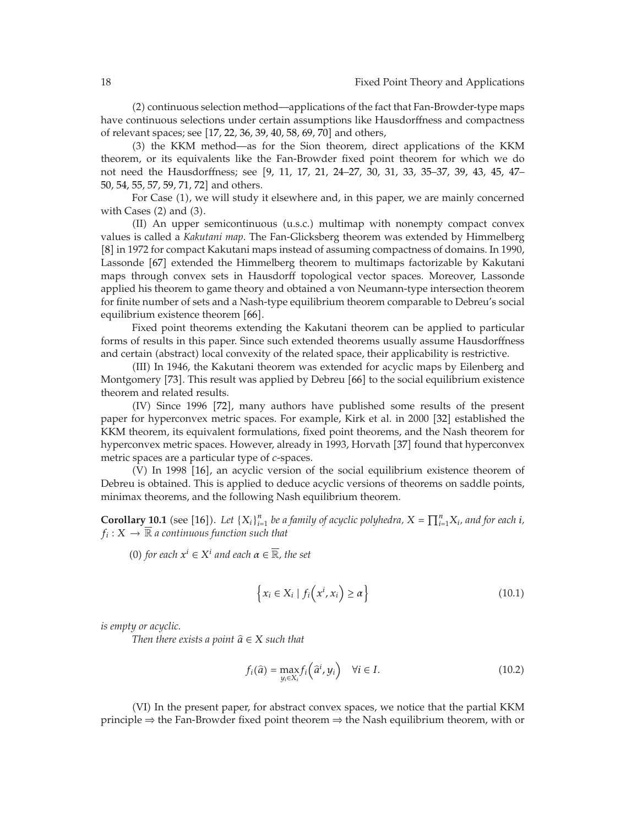2 continuous selection method—applications of the fact that Fan-Browder-type maps have continuous selections under certain assumptions like Hausdorffness and compactness of relevant spaces; see [[17](#page-20-15), [22,](#page-21-1) [36,](#page-21-9) [39,](#page-21-12) [40,](#page-21-13) [58,](#page-22-8) [69,](#page-22-6) [70](#page-22-16)] and others,

3 the KKM method—as for the Sion theorem, direct applications of the KKM theorem, or its equivalents like the Fan-Browder fixed point theorem for which we do not need the Hausdorffness; see [[9](#page-20-9), [11,](#page-20-11) [17](#page-20-15), [21](#page-20-17), [24](#page-21-2)[–27,](#page-21-6) [30,](#page-21-20) [31](#page-21-25), [33,](#page-21-5) [35](#page-21-8)[–37,](#page-21-10) [39](#page-21-12), [43,](#page-21-15) [45,](#page-21-17) [47](#page-21-19)– [50,](#page-21-23) [54,](#page-22-3) [55,](#page-22-4) [57](#page-22-7), [59](#page-22-9), [71](#page-22-17), [72](#page-22-18)] and others.

For Case (1), we will study it elsewhere and, in this paper, we are mainly concerned with Cases (2) and (3).

 $II$ ) An upper semicontinuous  $(u.s.c.)$  multimap with nonempty compact convex values is called a *Kakutani map*. The Fan-Glicksberg theorem was extended by Himmelberg [[8](#page-20-8)] in 1972 for compact Kakutani maps instead of assuming compactness of domains. In 1990, Lassonde [[67](#page-22-19)] extended the Himmelberg theorem to multimaps factorizable by Kakutani maps through convex sets in Hausdorff topological vector spaces. Moreover, Lassonde applied his theorem to game theory and obtained a von Neumann-type intersection theorem for finite number of sets and a Nash-type equilibrium theorem comparable to Debreu's social equilibrium existence theorem [[66](#page-22-20)].

Fixed point theorems extending the Kakutani theorem can be applied to particular forms of results in this paper. Since such extended theorems usually assume Hausdorffness and certain (abstract) local convexity of the related space, their applicability is restrictive.

III In 1946, the Kakutani theorem was extended for acyclic maps by Eilenberg and Montgomery [[73](#page-22-21)]. This result was applied by Debreu [[66](#page-22-20)] to the social equilibrium existence theorem and related results.

(IV) Since 1996 [[72](#page-22-18)], many authors have published some results of the present paper for hyperconvex metric spaces. For example, Kirk et al. in 2000 [[32](#page-21-24)] established the KKM theorem, its equivalent formulations, fixed point theorems, and the Nash theorem for hyperconvex metric spaces. However, already in 1993, Horvath [[37](#page-21-10)] found that hyperconvex metric spaces are a particular type of *c*-spaces.

(V) In 1998 [[16](#page-20-19)], an acyclic version of the social equilibrium existence theorem of Debreu is obtained. This is applied to deduce acyclic versions of theorems on saddle points, minimax theorems, and the following Nash equilibrium theorem.

**Corollary 10.1** (see [[16](#page-20-19)]). Let  ${X_i}_{i=1}^n$  be a family of acyclic polyhedra,  $X = \prod_{i=1}^n X_i$ , and for each *i*,  $f_i: X \to \overline{\mathbb{R}}$  a continuous function such that  $f_i: X \to \overline{\mathbb{R}}$  *a continuous function such that* 

0 *for each <sup>x</sup><sup>i</sup>* <sup>∈</sup> *X<sup>i</sup> and each α* <sup>∈</sup> <sup>R</sup>*, the set*

$$
\left\{ x_i \in X_i \mid f_i\left(x^i, x_i\right) \ge \alpha \right\} \tag{10.1}
$$

*is empty or acyclic.*

*Then there exists a point*  $\hat{a} \in X$  *such that* 

$$
f_i(\hat{a}) = \max_{y_i \in X_i} f_i\left(\hat{a}^i, y_i\right) \quad \forall i \in I.
$$
\n(10.2)

(VI) In the present paper, for abstract convex spaces, we notice that the partial KKM principle  $\Rightarrow$  the Fan-Browder fixed point theorem  $\Rightarrow$  the Nash equilibrium theorem, with or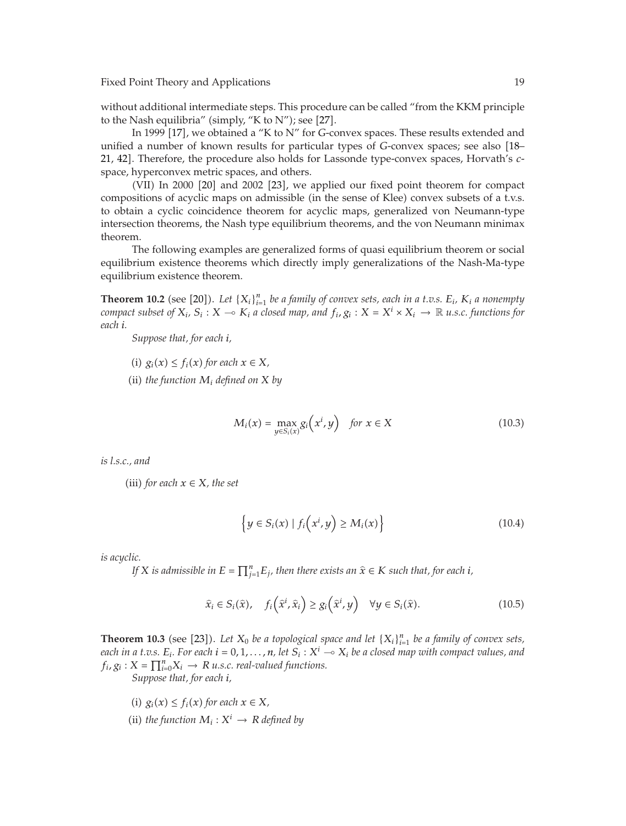without additional intermediate steps. This procedure can be called "from the KKM principle to the Nash equilibria" (simply, "K to N"); see  $[27]$  $[27]$  $[27]$ .

In 1999 [[17](#page-20-15)], we obtained a "K to N" for *G*-convex spaces. These results extended and<br>La number of known results for particular types of *G-convex* spaces: see also [18unified a number of known results for particular types of *G*-convex spaces; see also [[18](#page-20-16)–14] Therefore, the procedure also holds for Lassande type-convex spaces. Horvath's c [21,](#page-20-17) [42](#page-21-14)]. Therefore, the procedure also holds for Lassonde type-convex spaces, Horvath's *c*space, hyperconvex metric spaces, and others.

(VII) In [20](#page-20-20)00 [20] and 2002 [[23](#page-21-26)], we applied our fixed point theorem for compact compositions of acyclic maps on admissible (in the sense of Klee) convex subsets of a t.v.s. to obtain a cyclic coincidence theorem for acyclic maps, generalized von Neumann-type intersection theorems, the Nash type equilibrium theorems, and the von Neumann minimax theorem.

The following examples are generalized forms of quasi equilibrium theorem or social equilibrium existence theorems which directly imply generalizations of the Nash-Ma-type equilibrium existence theorem.

**Theorem 10.2** (see [[20](#page-20-20)]). Let  ${X_i}_{i=1}^n$  be a family of convex sets, each in a t.v.s.  $E_i$ ,  $K_i$  a nonempty compact subset of  $X_i, S_i, Y_i \in K_i$  a closed man, and  $f_i, \alpha : Y = X^i \times X_i \to \mathbb{R}$  is a functions for *compact subset of*  $X_i$ ,  $S_i$  :  $X \to K_i$  *a closed map, and*  $f_i$ ,  $g_i$  :  $X = X^i \times X_i \to \mathbb{R}$  *u.s.c. functions for each i.*

*Suppose that, for each i,*

(i)  $g_i(x) \leq f_i(x)$  for each  $x \in X$ , (ii) *the function*  $M_i$  *defined on*  $X$  *by* 

$$
M_i(x) = \max_{y \in S_i(x)} g_i\left(x^i, y\right) \quad \text{for } x \in X \tag{10.3}
$$

*is l.s.c., and*

(iii) *for each*  $x \in X$ *, the set* 

$$
\left\{ y \in S_i(x) \mid f_i\left(x^i, y\right) \ge M_i(x) \right\} \tag{10.4}
$$

*is acyclic.*

*If*  $X$  *is admissible in*  $E = \prod_{j=1}^{n} E_j$ *, then there exists an*  $\hat{x} \in K$  *such that, for each i,* 

$$
\widehat{x}_i \in S_i(\widehat{x}), \quad f_i\left(\widehat{x}^i, \widehat{x}_i\right) \ge g_i\left(\widehat{x}^i, y\right) \quad \forall y \in S_i(\widehat{x}). \tag{10.5}
$$

**Theorem 10.3** (see [[23](#page-21-26)]). Let  $X_0$  be a topological space and let  $\{X_i\}_{i=1}^n$  be a family of convex sets,<br>each in a t  $n \in \mathbb{F}$ . For each  $i = 0, 1, \ldots, n$  let  $S_i \cdot X^i = \infty$ . he a closed man with connact values, and *each in a t.v.s.*  $E_i$ *. For each*  $i = 0, 1, ..., n$ , let  $S_i : X^i \to X_i$  be a closed map with compact values, and  $f_i, g_i : X^i \to Y$  $f_i$ ,  $g_i$  :  $X = \prod_{i=0}^{n} X_i \rightarrow R$  *u.s.c. real-valued functions.*<br>Suppose that for each i

*Suppose that, for each i,*

(i)  $g_i(x) \leq f_i(x)$  for each  $x \in X$ , (ii) *the function*  $M_i: X^i \to R$  *defined by*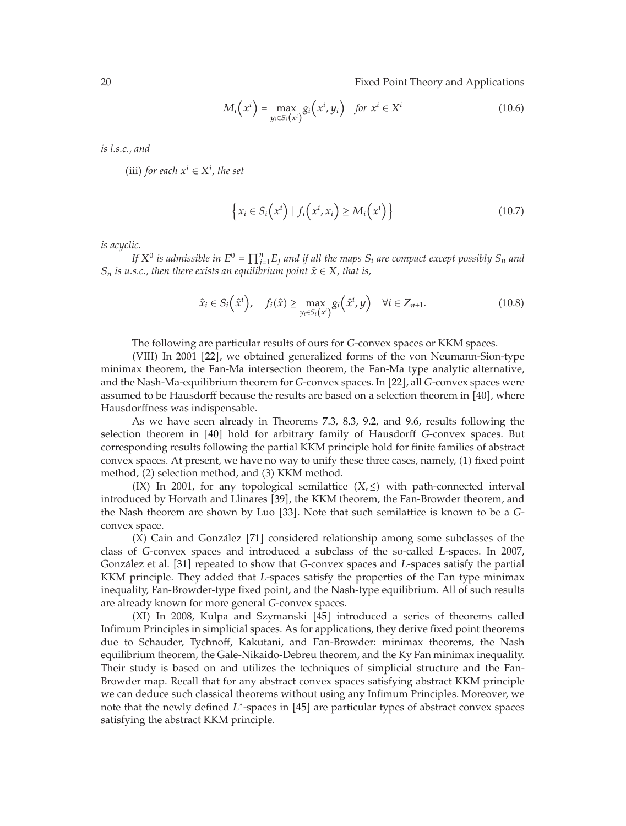$$
M_i\left(x^i\right) = \max_{y_i \in S_i\left(x^i\right)} g_i\left(x^i, y_i\right) \quad \text{for } x^i \in X^i \tag{10.6}
$$

*is l.s.c., and*

(iii) *for each*  $x^i \in X^i$ *, the set* 

$$
\left\{ x_i \in S_i\left(x^i\right) \mid f_i\left(x^i, x_i\right) \ge M_i\left(x^i\right) \right\} \tag{10.7}
$$

*is acyclic.*

*If*  $X^0$  *is admissible in*  $E^0 = \prod_{j=1}^n E_j$  *and if all the maps*  $S_i$  *are compact except possibly*  $S_n$  *and*  $s \in \mathbb{R}$  *that is*  $S_n$  *is u.s.c., then there exists an equilibrium point*  $\hat{x} \in X$ *, that is,* 

$$
\widehat{x}_i \in S_i\left(\widehat{x}^i\right), \quad f_i(\widehat{x}) \ge \max_{y_i \in S_i\left(x^i\right)} g_i\left(\widehat{x}^i, y\right) \quad \forall i \in Z_{n+1}.\tag{10.8}
$$

The following are particular results of ours for *G*-convex spaces or KKM spaces.

(VIII) In 2001 [[22](#page-21-1)], we obtained generalized forms of the von Neumann-Sion-type minimax theorem, the Fan-Ma intersection theorem, the Fan-Ma type analytic alternative, and the Nash-Ma-equilibrium theorem for *G*-convex spaces. In [[22](#page-21-1)], all *G*-convex spaces were<br>assumed to be Hausdorff because the results are based on a selection theorem in [40], where assumed to be Hausdorff because the results are based on a selection theorem in [[40](#page-21-13)], where Hausdorffness was indispensable.

As we have seen already in Theorems [7.3,](#page-12-2) [8.3,](#page-13-2) [9.2,](#page-14-1) and [9.6,](#page-15-0) results following the selection theorem in [[40](#page-21-13)] hold for arbitrary family of Hausdorff *G*-convex spaces. But<br>corresponding results following the partial KKM principle hold for finite families of abstract corresponding results following the partial KKM principle hold for finite families of abstract convex spaces. At present, we have no way to unify these three cases, namely, (1) fixed point method, (2) selection method, and (3) KKM method.

(IX) In 2001, for any topological semilattice  $(X, \leq)$  with path-connected interval introduced by Horvath and Llinares [[39](#page-21-12)], the KKM theorem, the Fan-Browder theorem, and the Nash theorem are shown by Luo [[33](#page-21-5)]. Note that such semilattice is known to be a *G*-<br>convex space convex space.

 $(X)$  Cain and González  $[71]$  $[71]$  $[71]$  considered relationship among some subclasses of the class of *G*-convex spaces and introduced a subclass of the so-called *<sup>L</sup>*-spaces. In 2007, González et al. <sup>[[31](#page-21-25)]</sup> repeated to show that *G*-convex spaces and *L*-spaces satisfy the partial *KKM* principle. They added that *L* spaces satisfy the partial *KKM* principle. They added that *L* spaces satisfy the prop KKM principle. They added that *L*-spaces satisfy the properties of the Fan type minimax inequality, Fan-Browder-type fixed point, and the Nash-type equilibrium. All of such results are already known for more general *G*-convex spaces.

(XI) In 2008, Kulpa and Szymanski [[45](#page-21-17)] introduced a series of theorems called Infimum Principles in simplicial spaces. As for applications, they derive fixed point theorems due to Schauder, Tychnoff, Kakutani, and Fan-Browder: minimax theorems, the Nash equilibrium theorem, the Gale-Nikaido-Debreu theorem, and the Ky Fan minimax inequality. Their study is based on and utilizes the techniques of simplicial structure and the Fan-Browder map. Recall that for any abstract convex spaces satisfying abstract KKM principle we can deduce such classical theorems without using any Infimum Principles. Moreover, we note that the newly defined *L*<sup>∗</sup>-spaces in [[45](#page-21-17)] are particular types of abstract convex spaces<br>satisfying the abstract KKM principle satisfying the abstract KKM principle.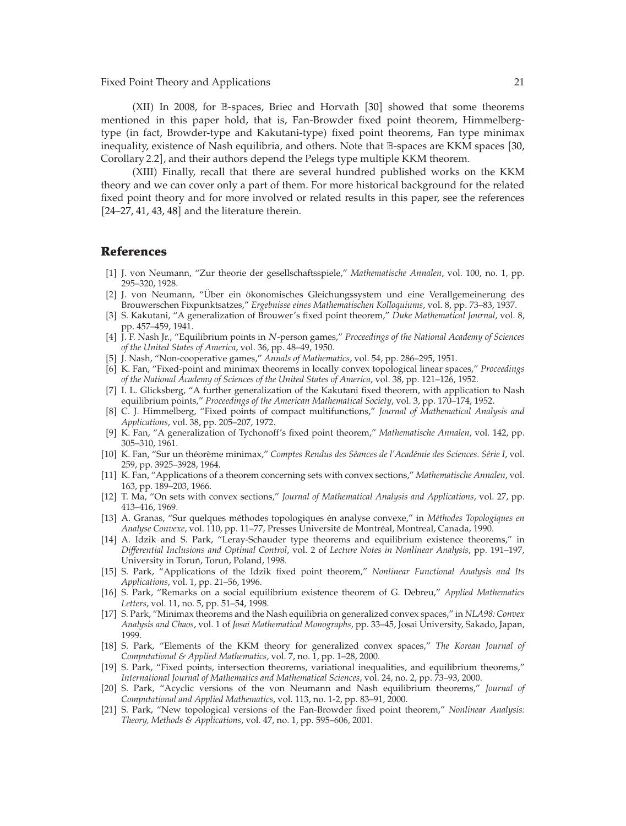(XII) In 2008, for B-spaces, Briec and Horvath [[30](#page-21-20)] showed that some theorems mentioned in this paper hold, that is, Fan-Browder fixed point theorem, Himmelbergtype (in fact, Browder-type and Kakutani-type) fixed point theorems, Fan type minimax inequality, existence of Nash equilibria, and others. Note that B-spaces are KKM spaces [[30,](#page-21-20) Corollary 2.2, and their authors depend the Pelegs type multiple KKM theorem.

(XIII) Finally, recall that there are several hundred published works on the KKM theory and we can cover only a part of them. For more historical background for the related fixed point theory and for more involved or related results in this paper, see the references  $[24-27, 41, 43, 48]$  $[24-27, 41, 43, 48]$  $[24-27, 41, 43, 48]$  $[24-27, 41, 43, 48]$  $[24-27, 41, 43, 48]$  $[24-27, 41, 43, 48]$  $[24-27, 41, 43, 48]$  $[24-27, 41, 43, 48]$  $[24-27, 41, 43, 48]$  and the literature therein.

## <span id="page-20-0"></span>**References**

- <span id="page-20-1"></span>-1 J. von Neumann, "Zur theorie der gesellschaftsspiele," *Mathematische Annalen*, vol. 100, no. 1, pp. 295–320, 1928.
- <span id="page-20-2"></span>[2] J. von Neumann, "Über ein ökonomisches Gleichungssystem und eine Verallgemeinerung des Brouwerschen Fixpunktsatzes," *Ergebnisse eines Mathematischen Kolloquiums*, vol. 8, pp. 73–83, 1937.
- <span id="page-20-3"></span>-3 S. Kakutani, "A generalization of Brouwer's fixed point theorem," *Duke Mathematical Journal*, vol. 8, pp. 457–459, 1941.
- <span id="page-20-4"></span>-<sup>4</sup> J. F. Nash Jr., "Equilibrium points in *N*-person games," *Proceedings of the National Academy of Sciences of the United States of America*, vol. 36, pp. 48–49, 1950.
- <span id="page-20-5"></span>[5] J. Nash, "Non-cooperative games," Annals of Mathematics, vol. 54, pp. 286–295, 1951.
- <span id="page-20-6"></span>[6] K. Fan, "Fixed-point and minimax theorems in locally convex topological linear spaces," Proceedings *of the National Academy of Sciences of the United States of America*, vol. 38, pp. 121–126, 1952.
- <span id="page-20-7"></span>[7] I. L. Glicksberg, "A further generalization of the Kakutani fixed theorem, with application to Nash equilibrium points," *Proceedings of the American Mathematical Society*, vol. 3, pp. 170–174, 1952.
- <span id="page-20-8"></span>-8 C. J. Himmelberg, "Fixed points of compact multifunctions," *Journal of Mathematical Analysis and Applications*, vol. 38, pp. 205–207, 1972.
- <span id="page-20-9"></span>-9 K. Fan, "A generalization of Tychonoff's fixed point theorem," *Mathematische Annalen*, vol. 142, pp. 305–310, 1961.
- <span id="page-20-10"></span>[10] K. Fan, "Sur un théorème minimax," Comptes Rendus des Séances de l'Académie des Sciences. Série I, vol. 259, pp. 3925–3928, 1964.
- <span id="page-20-11"></span>[11] K. Fan, "Applications of a theorem concerning sets with convex sections," Mathematische Annalen, vol. 163, pp. 189–203, 1966.
- <span id="page-20-12"></span>[12] T. Ma, "On sets with convex sections," *Journal of Mathematical Analysis and Applications*, vol. 27, pp. 413–416, 1969.
- <span id="page-20-13"></span>[13] A. Granas, "Sur quelques méthodes topologiques én analyse convexe," in Méthodes Topologiques en Analyse Convexe, vol. 110, pp. 11-77, Presses Université de Montréal, Montreal, Canada, 1990.
- <span id="page-20-14"></span>[14] A. Idzik and S. Park, "Leray-Schauder type theorems and equilibrium existence theorems," in *Differential Inclusions and Optimal Control*, vol. 2 of *Lecture Notes in Nonlinear Analysis*, pp. 191–197, University in Toruń, Toruń, Poland, 1998.
- -15 S. Park, "Applications of the Idzik fixed point theorem," *Nonlinear Functional Analysis and Its Applications*, vol. 1, pp. 21–56, 1996.
- <span id="page-20-19"></span>[16] S. Park, "Remarks on a social equilibrium existence theorem of G. Debreu," *Applied Mathematics Letters*, vol. 11, no. 5, pp. 51–54, 1998.
- <span id="page-20-15"></span>-17 S. Park, "Minimax theorems and the Nash equilibria on generalized convex spaces," in *NLA98: Convex Analysis and Chaos*, vol. 1 of *Josai Mathematical Monographs*, pp. 33–45, Josai University, Sakado, Japan, 1999.
- <span id="page-20-16"></span>-18 S. Park, "Elements of the KKM theory for generalized convex spaces," *The Korean Journal of Computational & Applied Mathematics*, vol. 7, no. 1, pp. 1–28, 2000.
- <span id="page-20-18"></span>[19] S. Park, "Fixed points, intersection theorems, variational inequalities, and equilibrium theorems," *International Journal of Mathematics and Mathematical Sciences*, vol. 24, no. 2, pp. 73–93, 2000.
- <span id="page-20-20"></span>[20] S. Park, "Acyclic versions of the von Neumann and Nash equilibrium theorems," *Journal of Computational and Applied Mathematics*, vol. 113, no. 1-2, pp. 83–91, 2000.
- <span id="page-20-17"></span>[21] S. Park, "New topological versions of the Fan-Browder fixed point theorem," *Nonlinear Analysis*: *Theory, Methods & Applications*, vol. 47, no. 1, pp. 595–606, 2001.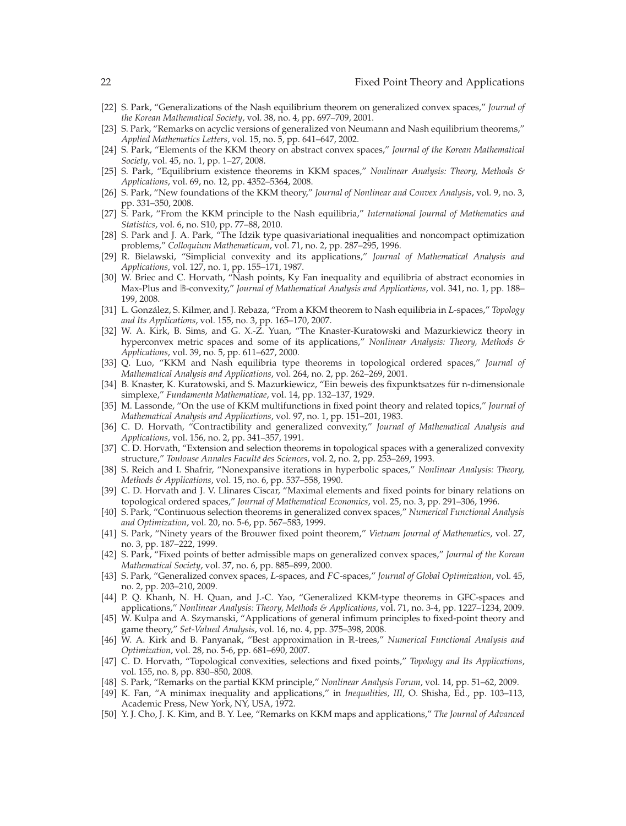- <span id="page-21-1"></span>-22 S. Park, "Generalizations of the Nash equilibrium theorem on generalized convex spaces," *Journal of the Korean Mathematical Society*, vol. 38, no. 4, pp. 697–709, 2001.
- <span id="page-21-26"></span>[23] S. Park, "Remarks on acyclic versions of generalized von Neumann and Nash equilibrium theorems," *Applied Mathematics Letters*, vol. 15, no. 5, pp. 641–647, 2002.
- <span id="page-21-2"></span>[24] S. Park, "Elements of the KKM theory on abstract convex spaces," *Journal of the Korean Mathematical Society*, vol. 45, no. 1, pp. 1–27, 2008.
- -25 S. Park, "Equilibrium existence theorems in KKM spaces," *Nonlinear Analysis: Theory, Methods & Applications*, vol. 69, no. 12, pp. 4352–5364, 2008.
- <span id="page-21-3"></span>[26] S. Park, "New foundations of the KKM theory," *Journal of Nonlinear and Convex Analysis*, vol. 9, no. 3, pp. 331–350, 2008.
- <span id="page-21-6"></span>[27] S. Park, "From the KKM principle to the Nash equilibria," *International Journal of Mathematics and Statistics*, vol. 6, no. S10, pp. 77–88, 2010.
- <span id="page-21-0"></span>[28] S. Park and J. A. Park, "The Idzik type quasivariational inequalities and noncompact optimization problems," *Colloquium Mathematicum*, vol. 71, no. 2, pp. 287–295, 1996.
- <span id="page-21-4"></span>-29 R. Bielawski, "Simplicial convexity and its applications," *Journal of Mathematical Analysis and Applications*, vol. 127, no. 1, pp. 155–171, 1987.
- <span id="page-21-20"></span>[30] W. Briec and C. Horvath, "Nash points, Ky Fan inequality and equilibria of abstract economies in Max-Plus and B-convexity," *Journal of Mathematical Analysis and Applications*, vol. 341, no. 1, pp. 188– 199, 2008.
- <span id="page-21-25"></span>[31] L. González, S. Kilmer, and J. Rebaza, "From a KKM theorem to Nash equilibria in *L*-spaces," *Topology*<br>and Its Amplications, yol. 155, no. 3, np. 165–170, 2007 *and Its Applications*, vol. 155, no. 3, pp. 165–170, 2007.
- <span id="page-21-24"></span>[32] W. A. Kirk, B. Sims, and G. X.-Z. Yuan, "The Knaster-Kuratowski and Mazurkiewicz theory in hyperconvex metric spaces and some of its applications," *Nonlinear Analysis: Theory, Methods & Applications*, vol. 39, no. 5, pp. 611–627, 2000.
- <span id="page-21-5"></span>-33 Q. Luo, "KKM and Nash equilibria type theorems in topological ordered spaces," *Journal of Mathematical Analysis and Applications*, vol. 264, no. 2, pp. 262–269, 2001.
- <span id="page-21-7"></span>[34] B. Knaster, K. Kuratowski, and S. Mazurkiewicz, "Ein beweis des fixpunktsatzes für n-dimensionale simplexe," *Fundamenta Mathematicae*, vol. 14, pp. 132–137, 1929.
- <span id="page-21-8"></span>[35] M. Lassonde, "On the use of KKM multifunctions in fixed point theory and related topics," *Journal of Mathematical Analysis and Applications*, vol. 97, no. 1, pp. 151–201, 1983.
- <span id="page-21-9"></span>[36] C. D. Horvath, "Contractibility and generalized convexity," Journal of Mathematical Analysis and *Applications*, vol. 156, no. 2, pp. 341–357, 1991.
- <span id="page-21-10"></span>[37] C. D. Horvath, "Extension and selection theorems in topological spaces with a generalized convexity structure," *Toulouse Annales Faculte des Sciences ´* , vol. 2, no. 2, pp. 253–269, 1993.
- <span id="page-21-11"></span>[38] S. Reich and I. Shafrir, "Nonexpansive iterations in hyperbolic spaces," *Nonlinear Analysis: Theory*, *Methods & Applications*, vol. 15, no. 6, pp. 537–558, 1990.
- <span id="page-21-12"></span>[39] C. D. Horvath and J. V. Llinares Ciscar, "Maximal elements and fixed points for binary relations on topological ordered spaces," *Journal of Mathematical Economics*, vol. 25, no. 3, pp. 291–306, 1996.
- <span id="page-21-13"></span>[40] S. Park, "Continuous selection theorems in generalized convex spaces," Numerical Functional Analysis *and Optimization*, vol. 20, no. 5-6, pp. 567–583, 1999.
- <span id="page-21-27"></span>-41 S. Park, "Ninety years of the Brouwer fixed point theorem," *Vietnam Journal of Mathematics*, vol. 27, no. 3, pp. 187–222, 1999.
- <span id="page-21-14"></span>[42] S. Park, "Fixed points of better admissible maps on generalized convex spaces," *Journal of the Korean Mathematical Society*, vol. 37, no. 6, pp. 885–899, 2000.
- <span id="page-21-15"></span>-<sup>43</sup> S. Park, "Generalized convex spaces, *<sup>L</sup>*-spaces, and *FC*-spaces," *Journal of Global Optimization*, vol. 45, no. 2, pp. 203–210, 2009.
- <span id="page-21-16"></span>[44] P. Q. Khanh, N. H. Quan, and J.-C. Yao, "Generalized KKM-type theorems in GFC-spaces and applications," *Nonlinear Analysis: Theory, Methods & Applications*, vol. 71, no. 3-4, pp. 1227–1234, 2009.
- <span id="page-21-17"></span>[45] W. Kulpa and A. Szymanski, "Applications of general infimum principles to fixed-point theory and game theory," *Set-Valued Analysis*, vol. 16, no. 4, pp. 375–398, 2008.
- <span id="page-21-18"></span>-46 W. A. Kirk and B. Panyanak, "Best approximation in R-trees," *Numerical Functional Analysis and Optimization*, vol. 28, no. 5-6, pp. 681–690, 2007.
- <span id="page-21-19"></span>-47 C. D. Horvath, "Topological convexities, selections and fixed points," *Topology and Its Applications*, vol. 155, no. 8, pp. 830–850, 2008.
- <span id="page-21-21"></span>-48 S. Park, "Remarks on the partial KKM principle," *Nonlinear Analysis Forum*, vol. 14, pp. 51–62, 2009.
- <span id="page-21-22"></span>-49 K. Fan, "A minimax inequality and applications," in *Inequalities, III*, O. Shisha, Ed., pp. 103–113, Academic Press, New York, NY, USA, 1972.
- <span id="page-21-23"></span>[50] Y. J. Cho, J. K. Kim, and B. Y. Lee, "Remarks on KKM maps and applications," The Journal of Advanced